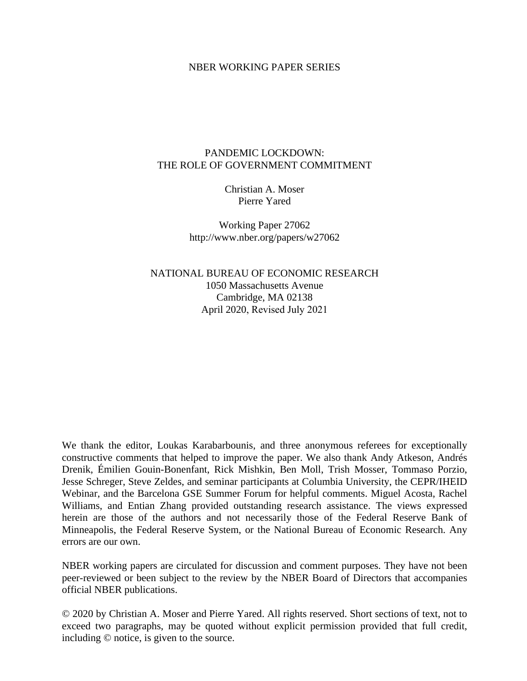### NBER WORKING PAPER SERIES

### PANDEMIC LOCKDOWN: THE ROLE OF GOVERNMENT COMMITMENT

Christian A. Moser Pierre Yared

Working Paper 27062 http://www.nber.org/papers/w27062

NATIONAL BUREAU OF ECONOMIC RESEARCH 1050 Massachusetts Avenue Cambridge, MA 02138 April 2020, Revised July 2021

We thank the editor, Loukas Karabarbounis, and three anonymous referees for exceptionally constructive comments that helped to improve the paper. We also thank Andy Atkeson, Andrés Drenik, Émilien Gouin-Bonenfant, Rick Mishkin, Ben Moll, Trish Mosser, Tommaso Porzio, Jesse Schreger, Steve Zeldes, and seminar participants at Columbia University, the CEPR/IHEID Webinar, and the Barcelona GSE Summer Forum for helpful comments. Miguel Acosta, Rachel Williams, and Entian Zhang provided outstanding research assistance. The views expressed herein are those of the authors and not necessarily those of the Federal Reserve Bank of Minneapolis, the Federal Reserve System, or the National Bureau of Economic Research. Any errors are our own.

NBER working papers are circulated for discussion and comment purposes. They have not been peer-reviewed or been subject to the review by the NBER Board of Directors that accompanies official NBER publications.

© 2020 by Christian A. Moser and Pierre Yared. All rights reserved. Short sections of text, not to exceed two paragraphs, may be quoted without explicit permission provided that full credit, including © notice, is given to the source.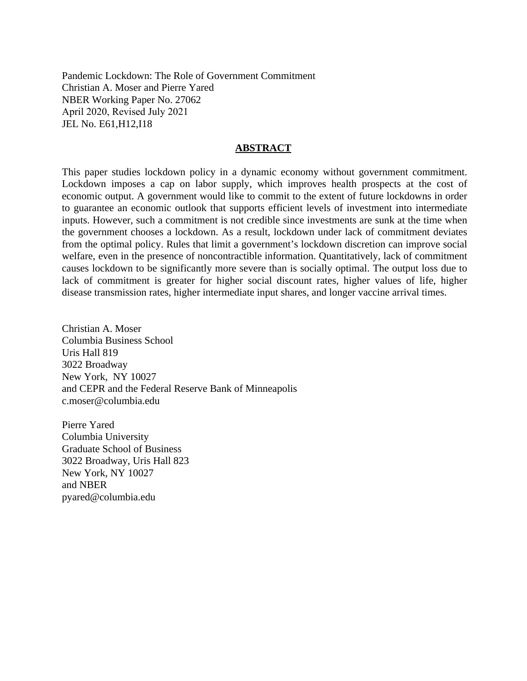Pandemic Lockdown: The Role of Government Commitment Christian A. Moser and Pierre Yared NBER Working Paper No. 27062 April 2020, Revised July 2021 JEL No. E61,H12,I18

### **ABSTRACT**

This paper studies lockdown policy in a dynamic economy without government commitment. Lockdown imposes a cap on labor supply, which improves health prospects at the cost of economic output. A government would like to commit to the extent of future lockdowns in order to guarantee an economic outlook that supports efficient levels of investment into intermediate inputs. However, such a commitment is not credible since investments are sunk at the time when the government chooses a lockdown. As a result, lockdown under lack of commitment deviates from the optimal policy. Rules that limit a government's lockdown discretion can improve social welfare, even in the presence of noncontractible information. Quantitatively, lack of commitment causes lockdown to be significantly more severe than is socially optimal. The output loss due to lack of commitment is greater for higher social discount rates, higher values of life, higher disease transmission rates, higher intermediate input shares, and longer vaccine arrival times.

Christian A. Moser Columbia Business School Uris Hall 819 3022 Broadway New York, NY 10027 and CEPR and the Federal Reserve Bank of Minneapolis c.moser@columbia.edu

Pierre Yared Columbia University Graduate School of Business 3022 Broadway, Uris Hall 823 New York, NY 10027 and NBER pyared@columbia.edu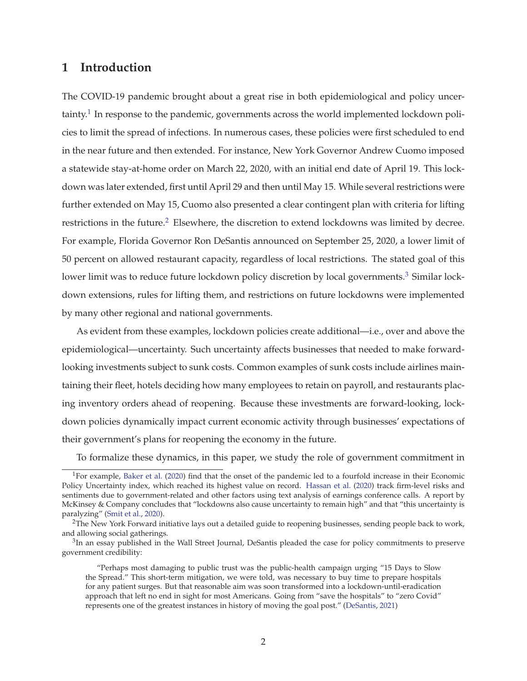## **1 Introduction**

The COVID-19 pandemic brought about a great rise in both epidemiological and policy uncertainty.<sup>1</sup> In response to the pandemic, governments across the world implemented lockdown policies to limit the spread of infections. In numerous cases, these policies were first scheduled to end in the near future and then extended. For instance, New York Governor Andrew Cuomo imposed a statewide stay-at-home order on March 22, 2020, with an initial end date of April 19. This lockdown was later extended, first until April 29 and then until May 15. While several restrictions were further extended on May 15, Cuomo also presented a clear contingent plan with criteria for lifting restrictions in the future.<sup>2</sup> Elsewhere, the discretion to extend lockdowns was limited by decree. For example, Florida Governor Ron DeSantis announced on September 25, 2020, a lower limit of 50 percent on allowed restaurant capacity, regardless of local restrictions. The stated goal of this lower limit was to reduce future lockdown policy discretion by local governments.<sup>3</sup> Similar lockdown extensions, rules for lifting them, and restrictions on future lockdowns were implemented by many other regional and national governments.

As evident from these examples, lockdown policies create additional—i.e., over and above the epidemiological—uncertainty. Such uncertainty affects businesses that needed to make forwardlooking investments subject to sunk costs. Common examples of sunk costs include airlines maintaining their fleet, hotels deciding how many employees to retain on payroll, and restaurants placing inventory orders ahead of reopening. Because these investments are forward-looking, lockdown policies dynamically impact current economic activity through businesses' expectations of their government's plans for reopening the economy in the future.

To formalize these dynamics, in this paper, we study the role of government commitment in

<sup>&</sup>lt;sup>1</sup>For example, Baker et al. (2020) find that the onset of the pandemic led to a fourfold increase in their Economic Policy Uncertainty index, which reached its highest value on record. Hassan et al. (2020) track firm-level risks and sentiments due to government-related and other factors using text analysis of earnings conference calls. A report by McKinsey & Company concludes that "lockdowns also cause uncertainty to remain high" and that "this uncertainty is paralyzing" (Smit et al., 2020).

<sup>&</sup>lt;sup>2</sup>The New York Forward initiative lays out a detailed guide to reopening businesses, sending people back to work, and allowing social gatherings.

 $3$ In an essay published in the Wall Street Journal, DeSantis pleaded the case for policy commitments to preserve government credibility:

<sup>&</sup>quot;Perhaps most damaging to public trust was the public-health campaign urging "15 Days to Slow the Spread." This short-term mitigation, we were told, was necessary to buy time to prepare hospitals for any patient surges. But that reasonable aim was soon transformed into a lockdown-until-eradication approach that left no end in sight for most Americans. Going from "save the hospitals" to "zero Covid" represents one of the greatest instances in history of moving the goal post." (DeSantis, 2021)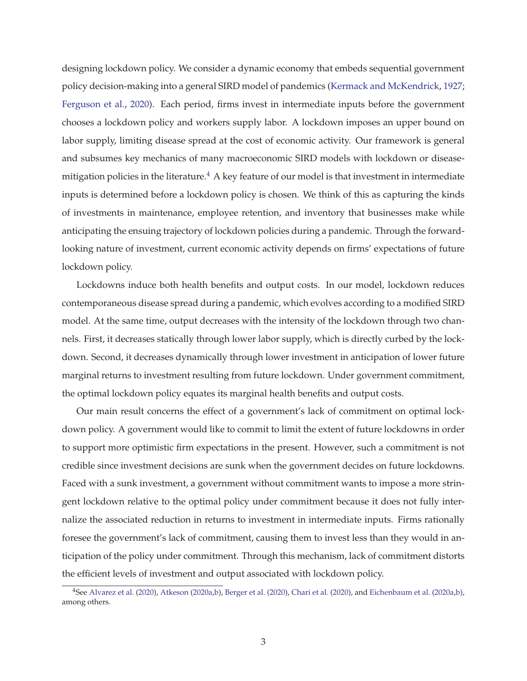designing lockdown policy. We consider a dynamic economy that embeds sequential government policy decision-making into a general SIRD model of pandemics (Kermack and McKendrick, 1927; Ferguson et al., 2020). Each period, firms invest in intermediate inputs before the government chooses a lockdown policy and workers supply labor. A lockdown imposes an upper bound on labor supply, limiting disease spread at the cost of economic activity. Our framework is general and subsumes key mechanics of many macroeconomic SIRD models with lockdown or diseasemitigation policies in the literature.<sup>4</sup> A key feature of our model is that investment in intermediate inputs is determined before a lockdown policy is chosen. We think of this as capturing the kinds of investments in maintenance, employee retention, and inventory that businesses make while anticipating the ensuing trajectory of lockdown policies during a pandemic. Through the forwardlooking nature of investment, current economic activity depends on firms' expectations of future lockdown policy.

Lockdowns induce both health benefits and output costs. In our model, lockdown reduces contemporaneous disease spread during a pandemic, which evolves according to a modified SIRD model. At the same time, output decreases with the intensity of the lockdown through two channels. First, it decreases statically through lower labor supply, which is directly curbed by the lockdown. Second, it decreases dynamically through lower investment in anticipation of lower future marginal returns to investment resulting from future lockdown. Under government commitment, the optimal lockdown policy equates its marginal health benefits and output costs.

Our main result concerns the effect of a government's lack of commitment on optimal lockdown policy. A government would like to commit to limit the extent of future lockdowns in order to support more optimistic firm expectations in the present. However, such a commitment is not credible since investment decisions are sunk when the government decides on future lockdowns. Faced with a sunk investment, a government without commitment wants to impose a more stringent lockdown relative to the optimal policy under commitment because it does not fully internalize the associated reduction in returns to investment in intermediate inputs. Firms rationally foresee the government's lack of commitment, causing them to invest less than they would in anticipation of the policy under commitment. Through this mechanism, lack of commitment distorts the efficient levels of investment and output associated with lockdown policy.

<sup>4</sup>See Alvarez et al. (2020), Atkeson (2020a,b), Berger et al. (2020), Chari et al. (2020), and Eichenbaum et al. (2020a,b), among others.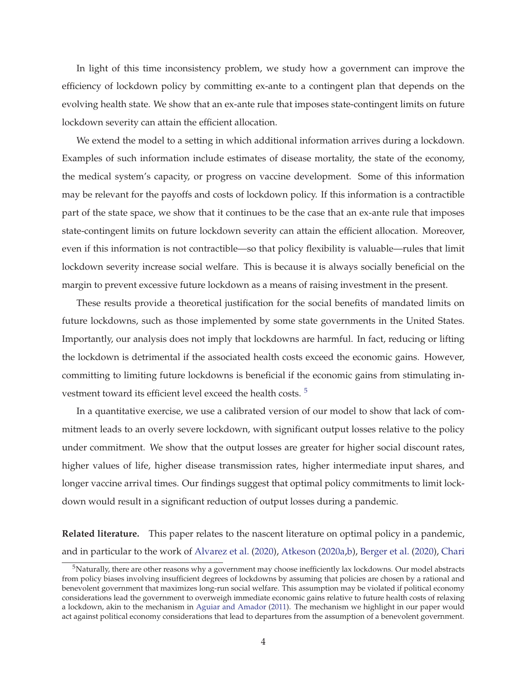In light of this time inconsistency problem, we study how a government can improve the efficiency of lockdown policy by committing ex-ante to a contingent plan that depends on the evolving health state. We show that an ex-ante rule that imposes state-contingent limits on future lockdown severity can attain the efficient allocation.

We extend the model to a setting in which additional information arrives during a lockdown. Examples of such information include estimates of disease mortality, the state of the economy, the medical system's capacity, or progress on vaccine development. Some of this information may be relevant for the payoffs and costs of lockdown policy. If this information is a contractible part of the state space, we show that it continues to be the case that an ex-ante rule that imposes state-contingent limits on future lockdown severity can attain the efficient allocation. Moreover, even if this information is not contractible—so that policy flexibility is valuable—rules that limit lockdown severity increase social welfare. This is because it is always socially beneficial on the margin to prevent excessive future lockdown as a means of raising investment in the present.

These results provide a theoretical justification for the social benefits of mandated limits on future lockdowns, such as those implemented by some state governments in the United States. Importantly, our analysis does not imply that lockdowns are harmful. In fact, reducing or lifting the lockdown is detrimental if the associated health costs exceed the economic gains. However, committing to limiting future lockdowns is beneficial if the economic gains from stimulating investment toward its efficient level exceed the health costs. <sup>5</sup>

In a quantitative exercise, we use a calibrated version of our model to show that lack of commitment leads to an overly severe lockdown, with significant output losses relative to the policy under commitment. We show that the output losses are greater for higher social discount rates, higher values of life, higher disease transmission rates, higher intermediate input shares, and longer vaccine arrival times. Our findings suggest that optimal policy commitments to limit lockdown would result in a significant reduction of output losses during a pandemic.

**Related literature.** This paper relates to the nascent literature on optimal policy in a pandemic, and in particular to the work of Alvarez et al. (2020), Atkeson (2020a,b), Berger et al. (2020), Chari

 $5$ Naturally, there are other reasons why a government may choose inefficiently lax lockdowns. Our model abstracts from policy biases involving insufficient degrees of lockdowns by assuming that policies are chosen by a rational and benevolent government that maximizes long-run social welfare. This assumption may be violated if political economy considerations lead the government to overweigh immediate economic gains relative to future health costs of relaxing a lockdown, akin to the mechanism in Aguiar and Amador (2011). The mechanism we highlight in our paper would act against political economy considerations that lead to departures from the assumption of a benevolent government.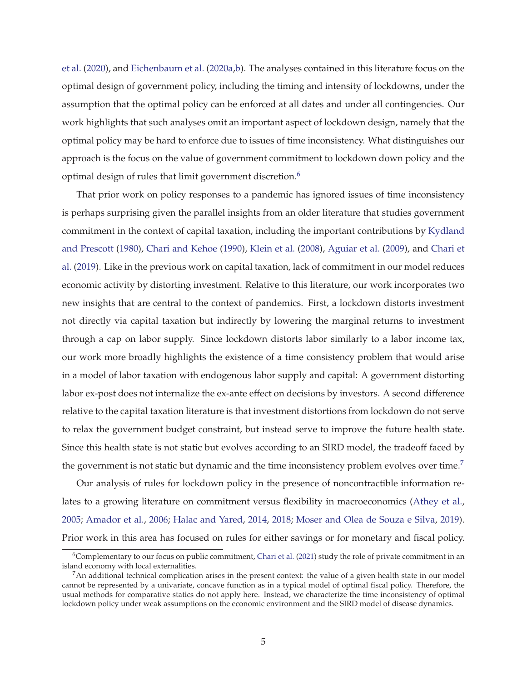et al. (2020), and Eichenbaum et al. (2020a,b). The analyses contained in this literature focus on the optimal design of government policy, including the timing and intensity of lockdowns, under the assumption that the optimal policy can be enforced at all dates and under all contingencies. Our work highlights that such analyses omit an important aspect of lockdown design, namely that the optimal policy may be hard to enforce due to issues of time inconsistency. What distinguishes our approach is the focus on the value of government commitment to lockdown down policy and the optimal design of rules that limit government discretion.<sup>6</sup>

That prior work on policy responses to a pandemic has ignored issues of time inconsistency is perhaps surprising given the parallel insights from an older literature that studies government commitment in the context of capital taxation, including the important contributions by Kydland and Prescott (1980), Chari and Kehoe (1990), Klein et al. (2008), Aguiar et al. (2009), and Chari et al. (2019). Like in the previous work on capital taxation, lack of commitment in our model reduces economic activity by distorting investment. Relative to this literature, our work incorporates two new insights that are central to the context of pandemics. First, a lockdown distorts investment not directly via capital taxation but indirectly by lowering the marginal returns to investment through a cap on labor supply. Since lockdown distorts labor similarly to a labor income tax, our work more broadly highlights the existence of a time consistency problem that would arise in a model of labor taxation with endogenous labor supply and capital: A government distorting labor ex-post does not internalize the ex-ante effect on decisions by investors. A second difference relative to the capital taxation literature is that investment distortions from lockdown do not serve to relax the government budget constraint, but instead serve to improve the future health state. Since this health state is not static but evolves according to an SIRD model, the tradeoff faced by the government is not static but dynamic and the time inconsistency problem evolves over time.<sup>7</sup>

Our analysis of rules for lockdown policy in the presence of noncontractible information relates to a growing literature on commitment versus flexibility in macroeconomics (Athey et al., 2005; Amador et al., 2006; Halac and Yared, 2014, 2018; Moser and Olea de Souza e Silva, 2019). Prior work in this area has focused on rules for either savings or for monetary and fiscal policy.

 $6$ Complementary to our focus on public commitment, Chari et al. (2021) study the role of private commitment in an island economy with local externalities.

 $7$ An additional technical complication arises in the present context: the value of a given health state in our model cannot be represented by a univariate, concave function as in a typical model of optimal fiscal policy. Therefore, the usual methods for comparative statics do not apply here. Instead, we characterize the time inconsistency of optimal lockdown policy under weak assumptions on the economic environment and the SIRD model of disease dynamics.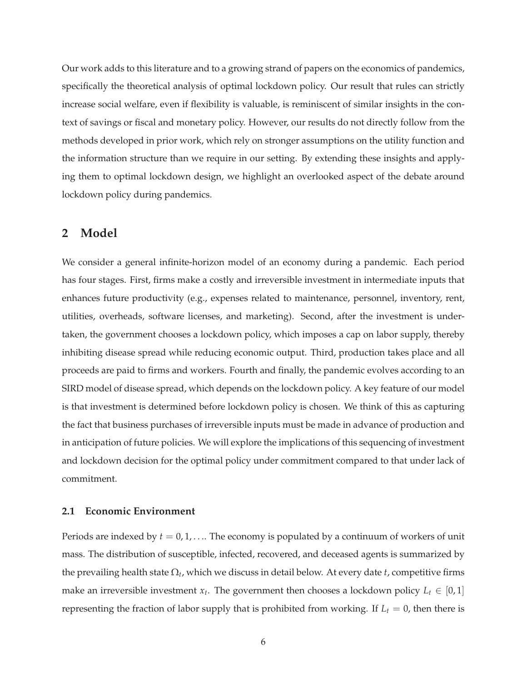Our work adds to this literature and to a growing strand of papers on the economics of pandemics, specifically the theoretical analysis of optimal lockdown policy. Our result that rules can strictly increase social welfare, even if flexibility is valuable, is reminiscent of similar insights in the context of savings or fiscal and monetary policy. However, our results do not directly follow from the methods developed in prior work, which rely on stronger assumptions on the utility function and the information structure than we require in our setting. By extending these insights and applying them to optimal lockdown design, we highlight an overlooked aspect of the debate around lockdown policy during pandemics.

## **2 Model**

We consider a general infinite-horizon model of an economy during a pandemic. Each period has four stages. First, firms make a costly and irreversible investment in intermediate inputs that enhances future productivity (e.g., expenses related to maintenance, personnel, inventory, rent, utilities, overheads, software licenses, and marketing). Second, after the investment is undertaken, the government chooses a lockdown policy, which imposes a cap on labor supply, thereby inhibiting disease spread while reducing economic output. Third, production takes place and all proceeds are paid to firms and workers. Fourth and finally, the pandemic evolves according to an SIRD model of disease spread, which depends on the lockdown policy. A key feature of our model is that investment is determined before lockdown policy is chosen. We think of this as capturing the fact that business purchases of irreversible inputs must be made in advance of production and in anticipation of future policies. We will explore the implications of this sequencing of investment and lockdown decision for the optimal policy under commitment compared to that under lack of commitment.

### **2.1 Economic Environment**

Periods are indexed by  $t = 0, 1, \ldots$  The economy is populated by a continuum of workers of unit mass. The distribution of susceptible, infected, recovered, and deceased agents is summarized by the prevailing health state Ω*<sup>t</sup>* , which we discuss in detail below. At every date *t*, competitive firms make an irreversible investment  $x_t$ . The government then chooses a lockdown policy  $L_t \in [0,1]$ representing the fraction of labor supply that is prohibited from working. If  $L_t = 0$ , then there is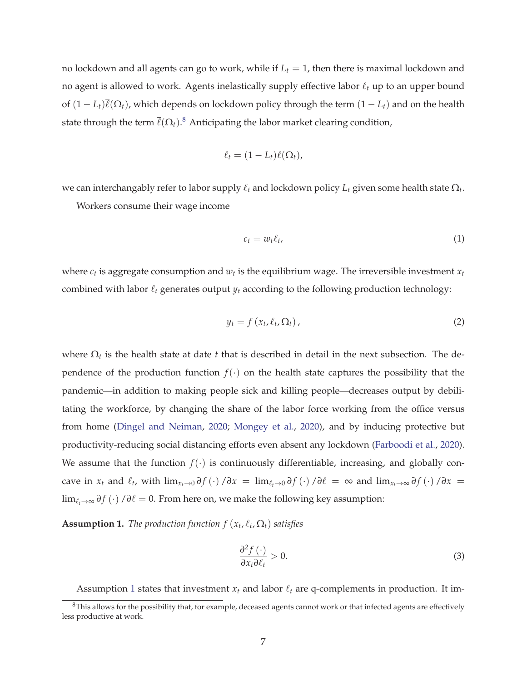no lockdown and all agents can go to work, while if  $L<sub>t</sub> = 1$ , then there is maximal lockdown and no agent is allowed to work. Agents inelastically supply effective labor  $\ell_t$  up to an upper bound of  $(1 - L_t)\overline{\ell}(\Omega_t)$ , which depends on lockdown policy through the term  $(1 - L_t)$  and on the health state through the term  $\overline{\ell}(\Omega_t)$ . $^8$  Anticipating the labor market clearing condition,

$$
\ell_t = (1-L_t)\overline{\ell}(\Omega_t),
$$

we can interchangably refer to labor supply  $\ell_t$  and lockdown policy  $L_t$  given some health state  $\Omega_t$ .

Workers consume their wage income

$$
c_t = w_t \ell_t, \tag{1}
$$

where  $c_t$  is aggregate consumption and  $w_t$  is the equilibrium wage. The irreversible investment  $x_t$ combined with labor  $\ell_t$  generates output  $\psi_t$  according to the following production technology:

$$
y_t = f\left(x_t, \ell_t, \Omega_t\right),\tag{2}
$$

where  $\Omega_t$  is the health state at date *t* that is described in detail in the next subsection. The dependence of the production function  $f(\cdot)$  on the health state captures the possibility that the pandemic—in addition to making people sick and killing people—decreases output by debilitating the workforce, by changing the share of the labor force working from the office versus from home (Dingel and Neiman, 2020; Mongey et al., 2020), and by inducing protective but productivity-reducing social distancing efforts even absent any lockdown (Farboodi et al., 2020). We assume that the function  $f(\cdot)$  is continuously differentiable, increasing, and globally concave in  $x_t$  and  $\ell_t$ , with  $\lim_{x_t\to 0} \partial f(\cdot)/\partial x = \lim_{\ell_t\to 0} \partial f(\cdot)/\partial \ell = \infty$  and  $\lim_{x_t\to \infty} \partial f(\cdot)/\partial x =$ limℓ*t*→<sup>∞</sup> *<sup>∂</sup> <sup>f</sup>* (·) /*∂*ℓ = 0. From here on, we make the following key assumption:

**Assumption 1.** *The production function*  $f(x_t, \ell_t, \Omega_t)$  *satisfies* 

$$
\frac{\partial^2 f(\cdot)}{\partial x_t \partial \ell_t} > 0. \tag{3}
$$

Assumption 1 states that investment  $x_t$  and labor  $\ell_t$  are q-complements in production. It im-

 $8$ This allows for the possibility that, for example, deceased agents cannot work or that infected agents are effectively less productive at work.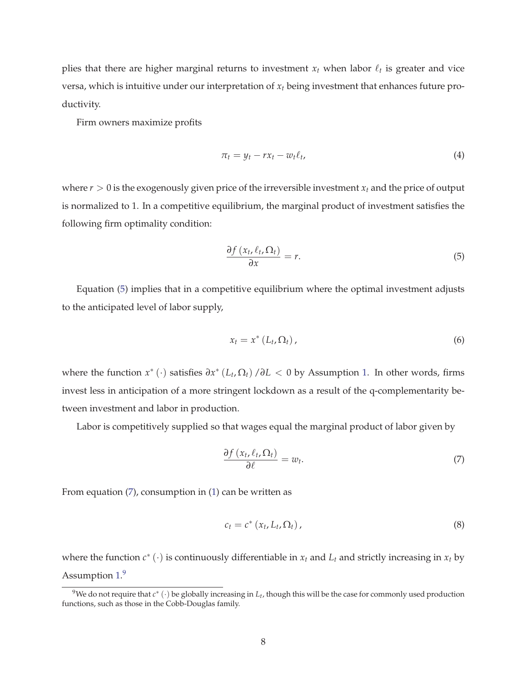plies that there are higher marginal returns to investment  $x_t$  when labor  $\ell_t$  is greater and vice versa, which is intuitive under our interpretation of *x<sup>t</sup>* being investment that enhances future productivity.

Firm owners maximize profits

$$
\pi_t = y_t - r x_t - w_t \ell_t, \tag{4}
$$

where *r* > 0 is the exogenously given price of the irreversible investment *x<sup>t</sup>* and the price of output is normalized to 1. In a competitive equilibrium, the marginal product of investment satisfies the following firm optimality condition:

$$
\frac{\partial f\left(x_t, \ell_t, \Omega_t\right)}{\partial x} = r. \tag{5}
$$

Equation (5) implies that in a competitive equilibrium where the optimal investment adjusts to the anticipated level of labor supply,

$$
x_t = x^* \left( L_t, \Omega_t \right), \tag{6}
$$

where the function  $x^*$  (·) satisfies  $\partial x^*$  ( $L_t$ ,  $\Omega_t$ ) / $\partial L$  < 0 by Assumption 1. In other words, firms invest less in anticipation of a more stringent lockdown as a result of the q-complementarity between investment and labor in production.

Labor is competitively supplied so that wages equal the marginal product of labor given by

$$
\frac{\partial f\left(x_t, \ell_t, \Omega_t\right)}{\partial \ell} = w_t.
$$
\n(7)

From equation (7), consumption in (1) can be written as

$$
c_t = c^* \left( x_t, L_t, \Omega_t \right), \tag{8}
$$

where the function  $c^*$  ( $\cdot$ ) is continuously differentiable in  $x_t$  and  $L_t$  and strictly increasing in  $x_t$  by Assumption 1.9

<sup>&</sup>lt;sup>9</sup>We do not require that  $c^*$  (∙) be globally increasing in  $L_t$ , though this will be the case for commonly used production functions, such as those in the Cobb-Douglas family.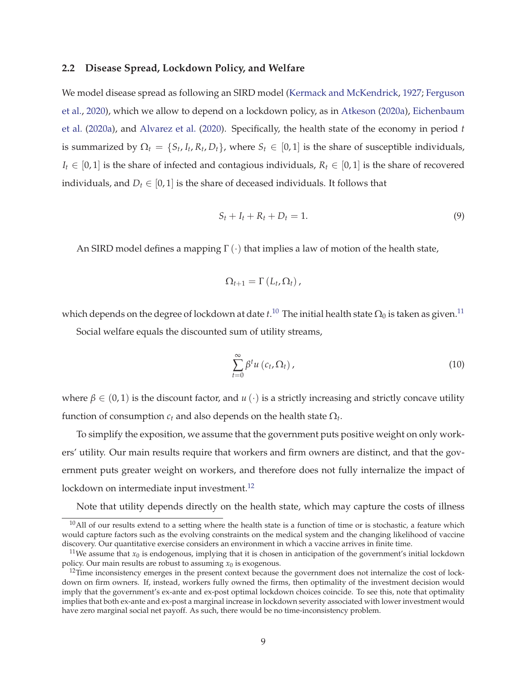#### **2.2 Disease Spread, Lockdown Policy, and Welfare**

We model disease spread as following an SIRD model (Kermack and McKendrick, 1927; Ferguson et al., 2020), which we allow to depend on a lockdown policy, as in Atkeson (2020a), Eichenbaum et al. (2020a), and Alvarez et al. (2020). Specifically, the health state of the economy in period *t* is summarized by  $\Omega_t = \{S_t, I_t, R_t, D_t\}$ , where  $S_t \in [0, 1]$  is the share of susceptible individuals, *I*<sup>*t*</sup> ∈ [0, 1] is the share of infected and contagious individuals,  $R$ <sup>*t*</sup> ∈ [0, 1] is the share of recovered individuals, and  $D_t \in [0, 1]$  is the share of deceased individuals. It follows that

$$
S_t + I_t + R_t + D_t = 1.
$$
\n<sup>(9)</sup>

An SIRD model defines a mapping  $\Gamma(\cdot)$  that implies a law of motion of the health state,

$$
\Omega_{t+1}=\Gamma\left(L_t,\Omega_t\right),\,
$$

which depends on the degree of lockdown at date  $t.^{10}$  The initial health state  $\Omega_0$  is taken as given. $^{11}$ 

Social welfare equals the discounted sum of utility streams,

$$
\sum_{t=0}^{\infty} \beta^t u\left(c_t, \Omega_t\right),\tag{10}
$$

where  $\beta \in (0,1)$  is the discount factor, and  $u(\cdot)$  is a strictly increasing and strictly concave utility function of consumption  $c_t$  and also depends on the health state  $\Omega_t$ .

To simplify the exposition, we assume that the government puts positive weight on only workers' utility. Our main results require that workers and firm owners are distinct, and that the government puts greater weight on workers, and therefore does not fully internalize the impact of lockdown on intermediate input investment.<sup>12</sup>

Note that utility depends directly on the health state, which may capture the costs of illness

 $10$ All of our results extend to a setting where the health state is a function of time or is stochastic, a feature which would capture factors such as the evolving constraints on the medical system and the changing likelihood of vaccine discovery. Our quantitative exercise considers an environment in which a vaccine arrives in finite time.

<sup>&</sup>lt;sup>11</sup>We assume that  $x_0$  is endogenous, implying that it is chosen in anticipation of the government's initial lockdown policy. Our main results are robust to assuming  $x_0$  is exogenous.

 $12$ Time inconsistency emerges in the present context because the government does not internalize the cost of lockdown on firm owners. If, instead, workers fully owned the firms, then optimality of the investment decision would imply that the government's ex-ante and ex-post optimal lockdown choices coincide. To see this, note that optimality implies that both ex-ante and ex-post a marginal increase in lockdown severity associated with lower investment would have zero marginal social net payoff. As such, there would be no time-inconsistency problem.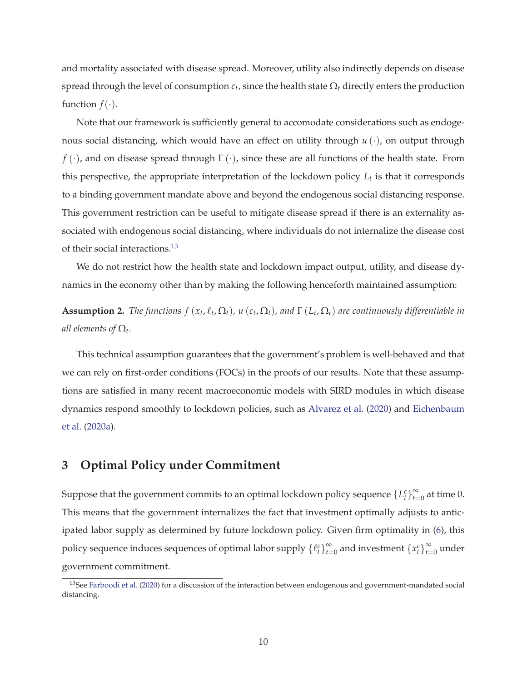and mortality associated with disease spread. Moreover, utility also indirectly depends on disease spread through the level of consumption  $c_t$ , since the health state  $\Omega_t$  directly enters the production function  $f(\cdot)$ .

Note that our framework is sufficiently general to accomodate considerations such as endogenous social distancing, which would have an effect on utility through *u* (·), on output through *f* (·), and on disease spread through Γ(·), since these are all functions of the health state. From this perspective, the appropriate interpretation of the lockdown policy *L<sup>t</sup>* is that it corresponds to a binding government mandate above and beyond the endogenous social distancing response. This government restriction can be useful to mitigate disease spread if there is an externality associated with endogenous social distancing, where individuals do not internalize the disease cost of their social interactions.<sup>13</sup>

We do not restrict how the health state and lockdown impact output, utility, and disease dynamics in the economy other than by making the following henceforth maintained assumption:

**Assumption 2.** *The functions*  $f(x_t, \ell_t, \Omega_t)$ ,  $u(c_t, \Omega_t)$ , and  $\Gamma(L_t, \Omega_t)$  are continuously differentiable in *all elements of*  $\Omega_t$ .

This technical assumption guarantees that the government's problem is well-behaved and that we can rely on first-order conditions (FOCs) in the proofs of our results. Note that these assumptions are satisfied in many recent macroeconomic models with SIRD modules in which disease dynamics respond smoothly to lockdown policies, such as Alvarez et al. (2020) and Eichenbaum et al. (2020a).

# **3 Optimal Policy under Commitment**

Suppose that the government commits to an optimal lockdown policy sequence  $\{L_t^c\}_{t=1}^\infty$  $\sum_{t=0}^{\infty}$  at time 0. This means that the government internalizes the fact that investment optimally adjusts to anticipated labor supply as determined by future lockdown policy. Given firm optimality in (6), this policy sequence induces sequences of optimal labor supply  $\{ \ell_t^c \}_{t=1}^{\infty}$  $\sum_{t=0}^{\infty}$  and investment  $\left\{x_t^c\right\}_{t=0}^{\infty}$  $\sum_{t=0}^{\infty}$  under government commitment.

<sup>&</sup>lt;sup>13</sup>See Farboodi et al. (2020) for a discussion of the interaction between endogenous and government-mandated social distancing.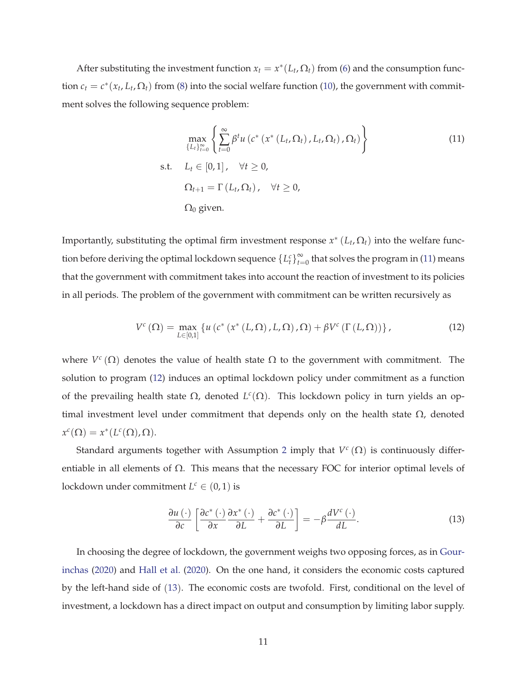After substituting the investment function  $x_t = x^*(L_t, \Omega_t)$  from (6) and the consumption function  $c_t = c^*(x_t, L_t, \Omega_t)$  from (8) into the social welfare function (10), the government with commitment solves the following sequence problem:

$$
\max_{\{L_t\}_{t=0}^{\infty}} \left\{ \sum_{t=0}^{\infty} \beta^t u\left(c^*\left(x^*\left(L_t, \Omega_t\right), L_t, \Omega_t\right), \Omega_t\right) \right\}
$$
\n
$$
\text{s.t.} \quad L_t \in [0, 1], \quad \forall t \ge 0,
$$
\n
$$
\Omega_{t+1} = \Gamma\left(L_t, \Omega_t\right), \quad \forall t \ge 0,
$$
\n
$$
\Omega_0 \text{ given.}
$$
\n(11)

Importantly, substituting the optimal firm investment response  $x^*(L_t, \Omega_t)$  into the welfare function before deriving the optimal lockdown sequence  $\{L_t^c\}_{t=1}^{\infty}$  $\sum_{t=0}^{\infty}$  that solves the program in (11) means that the government with commitment takes into account the reaction of investment to its policies in all periods. The problem of the government with commitment can be written recursively as

$$
V^{c}\left(\Omega\right)=\max_{L\in\left[0,1\right]}\left\{u\left(c^{*}\left(x^{*}\left(L,\Omega\right),L,\Omega\right),\Omega\right)+\beta V^{c}\left(\Gamma\left(L,\Omega\right)\right)\right\},\tag{12}
$$

where  $V^c(\Omega)$  denotes the value of health state  $\Omega$  to the government with commitment. The solution to program (12) induces an optimal lockdown policy under commitment as a function of the prevailing health state  $\Omega$ , denoted  $L^c(\Omega)$ . This lockdown policy in turn yields an optimal investment level under commitment that depends only on the health state  $\Omega$ , denoted  $x^c(\Omega) = x^*(L^c(\Omega), \Omega).$ 

Standard arguments together with Assumption 2 imply that *V c* (Ω) is continuously differentiable in all elements of  $\Omega$ . This means that the necessary FOC for interior optimal levels of lockdown under commitment  $L^c \in (0,1)$  is

$$
\frac{\partial u\left(\cdot\right)}{\partial c}\left[\frac{\partial c^*\left(\cdot\right)}{\partial x}\frac{\partial x^*\left(\cdot\right)}{\partial L}+\frac{\partial c^*\left(\cdot\right)}{\partial L}\right]=-\beta\frac{dV^c\left(\cdot\right)}{dL}.\tag{13}
$$

In choosing the degree of lockdown, the government weighs two opposing forces, as in Gourinchas (2020) and Hall et al. (2020). On the one hand, it considers the economic costs captured by the left-hand side of (13). The economic costs are twofold. First, conditional on the level of investment, a lockdown has a direct impact on output and consumption by limiting labor supply.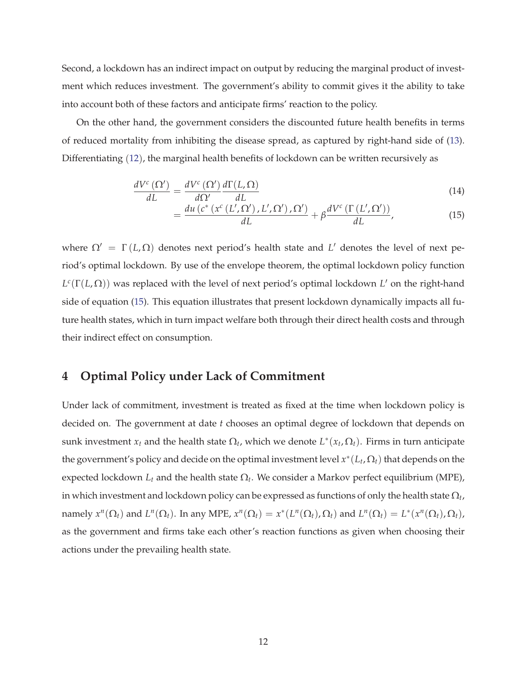Second, a lockdown has an indirect impact on output by reducing the marginal product of investment which reduces investment. The government's ability to commit gives it the ability to take into account both of these factors and anticipate firms' reaction to the policy.

On the other hand, the government considers the discounted future health benefits in terms of reduced mortality from inhibiting the disease spread, as captured by right-hand side of (13). Differentiating (12), the marginal health benefits of lockdown can be written recursively as

$$
\frac{dV^{c}\left(\Omega'\right)}{dL} = \frac{dV^{c}\left(\Omega'\right)}{d\Omega'}\frac{d\Gamma(L,\Omega)}{dL}
$$
\n(14)

$$
= \frac{du\left(c^*\left(x^c\left(L',\Omega'\right),L',\Omega'\right),\Omega'\right)}{dL} + \beta \frac{dV^c\left(\Gamma\left(L',\Omega'\right)\right)}{dL},\tag{15}
$$

where  $\Omega' = \Gamma(L, \Omega)$  denotes next period's health state and L' denotes the level of next period's optimal lockdown. By use of the envelope theorem, the optimal lockdown policy function *L c* (Γ(*L*, Ω)) was replaced with the level of next period's optimal lockdown *L* ′ on the right-hand side of equation (15). This equation illustrates that present lockdown dynamically impacts all future health states, which in turn impact welfare both through their direct health costs and through their indirect effect on consumption.

## **4 Optimal Policy under Lack of Commitment**

Under lack of commitment, investment is treated as fixed at the time when lockdown policy is decided on. The government at date *t* chooses an optimal degree of lockdown that depends on sunk investment  $x_t$  and the health state  $\Omega_t$ , which we denote  $L^*(x_t, \Omega_t)$ . Firms in turn anticipate the government's policy and decide on the optimal investment level *x* ∗ (*L<sup>t</sup>* , Ω*t*) that depends on the expected lockdown  $L_t$  and the health state  $\Omega_t$ . We consider a Markov perfect equilibrium (MPE), in which investment and lockdown policy can be expressed as functions of only the health state  $\Omega_t$ , namely  $x^n(\Omega_t)$  and  $L^n(\Omega_t)$ . In any MPE,  $x^n(\Omega_t) = x^*(L^n(\Omega_t), \Omega_t)$  and  $L^n(\Omega_t) = L^*(x^n(\Omega_t), \Omega_t)$ , as the government and firms take each other's reaction functions as given when choosing their actions under the prevailing health state.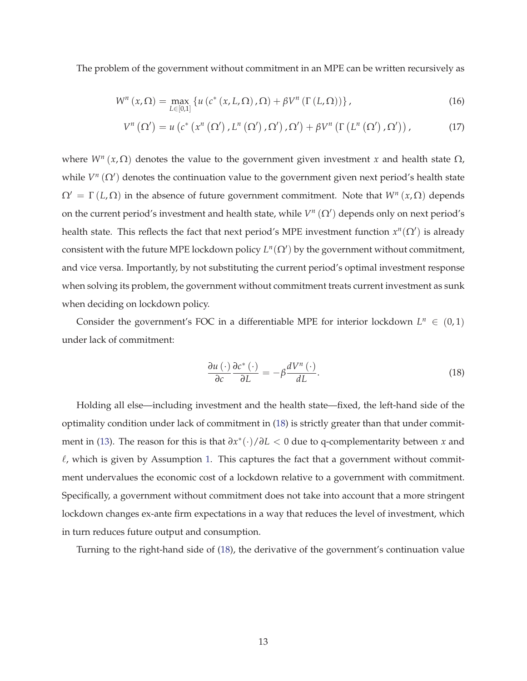The problem of the government without commitment in an MPE can be written recursively as

$$
W^{n}(x,\Omega) = \max_{L \in [0,1]} \left\{ u\left(c^{*}\left(x,L,\Omega\right),\Omega\right) + \beta V^{n}\left(\Gamma\left(L,\Omega\right)\right) \right\},\tag{16}
$$

$$
V^{n}\left(\Omega'\right)=u\left(c^{*}\left(x^{n}\left(\Omega'\right),L^{n}\left(\Omega'\right),\Omega'\right),\Omega'\right)+\beta V^{n}\left(\Gamma\left(L^{n}\left(\Omega'\right),\Omega'\right)\right),\qquad (17)
$$

where  $W^n(x, \Omega)$  denotes the value to the government given investment *x* and health state  $\Omega$ , while  $V^n(\Omega')$  denotes the continuation value to the government given next period's health state  $\Omega' = \Gamma(L, \Omega)$  in the absence of future government commitment. Note that  $W^n(x, \Omega)$  depends on the current period's investment and health state, while  $V^n(\Omega')$  depends only on next period's health state. This reflects the fact that next period's MPE investment function  $x^n(\Omega')$  is already consistent with the future MPE lockdown policy  $L^n(\Omega')$  by the government without commitment, and vice versa. Importantly, by not substituting the current period's optimal investment response when solving its problem, the government without commitment treats current investment as sunk when deciding on lockdown policy.

Consider the government's FOC in a differentiable MPE for interior lockdown  $L^n \in (0,1)$ under lack of commitment:

$$
\frac{\partial u\left(\cdot\right)}{\partial c}\frac{\partial c^*\left(\cdot\right)}{\partial L} = -\beta \frac{dV^n\left(\cdot\right)}{dL}.\tag{18}
$$

Holding all else—including investment and the health state—fixed, the left-hand side of the optimality condition under lack of commitment in (18) is strictly greater than that under commitment in (13). The reason for this is that *∂x* ∗ (·)/*∂L* < 0 due to q-complementarity between *x* and  $\ell$ , which is given by Assumption 1. This captures the fact that a government without commitment undervalues the economic cost of a lockdown relative to a government with commitment. Specifically, a government without commitment does not take into account that a more stringent lockdown changes ex-ante firm expectations in a way that reduces the level of investment, which in turn reduces future output and consumption.

Turning to the right-hand side of (18), the derivative of the government's continuation value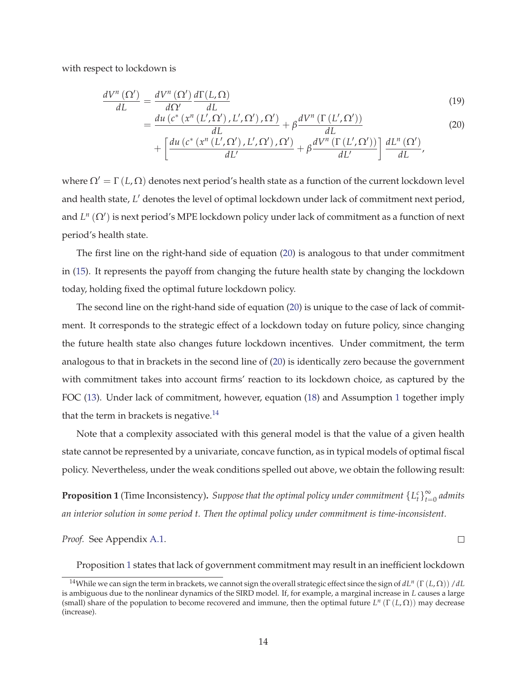with respect to lockdown is

$$
\frac{dV^{n}(\Omega')}{dL} = \frac{dV^{n}(\Omega')}{d\Omega'} \frac{d\Gamma(L,\Omega)}{dL}
$$
\n
$$
= \frac{du\left(c^{*}\left(x^{n}\left(L',\Omega'\right),L',\Omega'\right),\Omega'\right)}{dL} + \beta \frac{dV^{n}\left(\Gamma\left(L',\Omega'\right)\right)}{dL}
$$
\n(19)

$$
+\left[\frac{du\left(c^*\left(x^n\left(L',\Omega'\right),L',\Omega'\right),\Omega'\right)}{dL'}+\beta\frac{dV^n\left(\Gamma\left(L',\Omega'\right)\right)}{dL'}\right]\frac{dL^n\left(\Omega'\right)}{dL'},
$$

where  $\Omega' = \Gamma(L, \Omega)$  denotes next period's health state as a function of the current lockdown level and health state, *L* ′ denotes the level of optimal lockdown under lack of commitment next period, and *L<sup>n</sup>* (Ω<sup>'</sup>) is next period's MPE lockdown policy under lack of commitment as a function of next period's health state.

The first line on the right-hand side of equation (20) is analogous to that under commitment in (15). It represents the payoff from changing the future health state by changing the lockdown today, holding fixed the optimal future lockdown policy.

The second line on the right-hand side of equation (20) is unique to the case of lack of commitment. It corresponds to the strategic effect of a lockdown today on future policy, since changing the future health state also changes future lockdown incentives. Under commitment, the term analogous to that in brackets in the second line of (20) is identically zero because the government with commitment takes into account firms' reaction to its lockdown choice, as captured by the FOC (13). Under lack of commitment, however, equation (18) and Assumption 1 together imply that the term in brackets is negative.<sup>14</sup>

Note that a complexity associated with this general model is that the value of a given health state cannot be represented by a univariate, concave function, as in typical models of optimal fiscal policy. Nevertheless, under the weak conditions spelled out above, we obtain the following result:

**Proposition 1** (Time Inconsistency). Suppose that the optimal policy under commitment  $\{L_t^c\}_{t=1}^{\infty}$ *t*=0 *admits an interior solution in some period t. Then the optimal policy under commitment is time-inconsistent.*

*Proof.* See Appendix A.1.

 $\Box$ 

Proposition 1 states that lack of government commitment may result in an inefficient lockdown

<sup>14</sup>While we can sign the term in brackets, we cannot sign the overall strategic effect since the sign of *dL<sup>n</sup>* (Γ (*L*, Ω)) /*dL* is ambiguous due to the nonlinear dynamics of the SIRD model. If, for example, a marginal increase in *L* causes a large (small) share of the population to become recovered and immune, then the optimal future  $L^n(\Gamma(L,\Omega))$  may decrease (increase).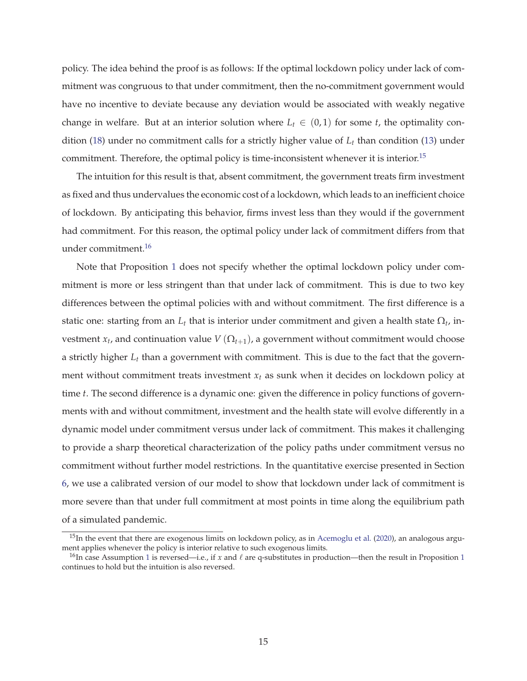policy. The idea behind the proof is as follows: If the optimal lockdown policy under lack of commitment was congruous to that under commitment, then the no-commitment government would have no incentive to deviate because any deviation would be associated with weakly negative change in welfare. But at an interior solution where  $L_t \in (0,1)$  for some *t*, the optimality condition (18) under no commitment calls for a strictly higher value of *L<sup>t</sup>* than condition (13) under commitment. Therefore, the optimal policy is time-inconsistent whenever it is interior.<sup>15</sup>

The intuition for this result is that, absent commitment, the government treats firm investment as fixed and thus undervalues the economic cost of a lockdown, which leads to an inefficient choice of lockdown. By anticipating this behavior, firms invest less than they would if the government had commitment. For this reason, the optimal policy under lack of commitment differs from that under commitment.<sup>16</sup>

Note that Proposition 1 does not specify whether the optimal lockdown policy under commitment is more or less stringent than that under lack of commitment. This is due to two key differences between the optimal policies with and without commitment. The first difference is a static one: starting from an  $L_t$  that is interior under commitment and given a health state  $\Omega_t$ , investment  $x_t$ , and continuation value  $V(\Omega_{t+1})$ , a government without commitment would choose a strictly higher *L<sup>t</sup>* than a government with commitment. This is due to the fact that the government without commitment treats investment *x<sup>t</sup>* as sunk when it decides on lockdown policy at time *t*. The second difference is a dynamic one: given the difference in policy functions of governments with and without commitment, investment and the health state will evolve differently in a dynamic model under commitment versus under lack of commitment. This makes it challenging to provide a sharp theoretical characterization of the policy paths under commitment versus no commitment without further model restrictions. In the quantitative exercise presented in Section 6, we use a calibrated version of our model to show that lockdown under lack of commitment is more severe than that under full commitment at most points in time along the equilibrium path of a simulated pandemic.

<sup>&</sup>lt;sup>15</sup>In the event that there are exogenous limits on lockdown policy, as in Acemoglu et al. (2020), an analogous argument applies whenever the policy is interior relative to such exogenous limits.

<sup>&</sup>lt;sup>16</sup>In case Assumption 1 is reversed—i.e., if *x* and  $\ell$  are q-substitutes in production—then the result in Proposition 1 continues to hold but the intuition is also reversed.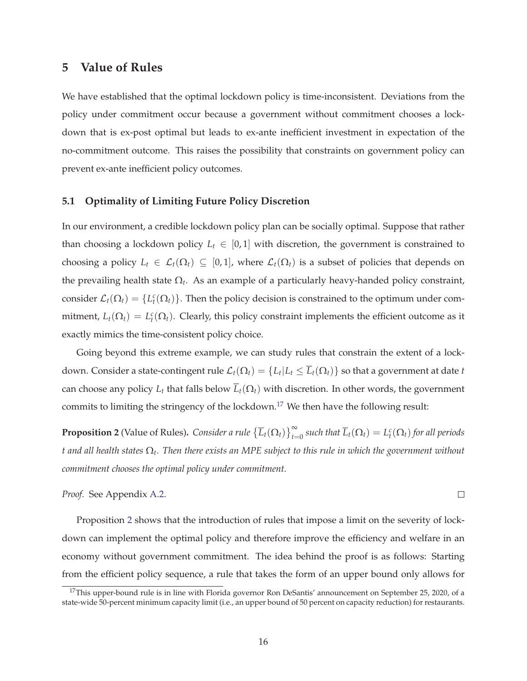## **5 Value of Rules**

We have established that the optimal lockdown policy is time-inconsistent. Deviations from the policy under commitment occur because a government without commitment chooses a lockdown that is ex-post optimal but leads to ex-ante inefficient investment in expectation of the no-commitment outcome. This raises the possibility that constraints on government policy can prevent ex-ante inefficient policy outcomes.

#### **5.1 Optimality of Limiting Future Policy Discretion**

In our environment, a credible lockdown policy plan can be socially optimal. Suppose that rather than choosing a lockdown policy  $L_t \in [0,1]$  with discretion, the government is constrained to choosing a policy  $L_t \in \mathcal{L}_t(\Omega_t) \subseteq [0,1]$ , where  $\mathcal{L}_t(\Omega_t)$  is a subset of policies that depends on the prevailing health state Ω*<sup>t</sup>* . As an example of a particularly heavy-handed policy constraint, consider  $\mathcal{L}_t(\Omega_t) = \{L_t^c(\Omega_t)\}\.$  Then the policy decision is constrained to the optimum under commitment,  $L_t(\Omega_t) = L_t^c(\Omega_t)$ . Clearly, this policy constraint implements the efficient outcome as it exactly mimics the time-consistent policy choice.

Going beyond this extreme example, we can study rules that constrain the extent of a lockdown. Consider a state-contingent rule  $\mathcal{L}_t(\Omega_t)=\{L_t|L_t\leq \overline{L}_t(\Omega_t)\}$  so that a government at date  $t$ can choose any policy  $L_t$  that falls below  $\overline{L}_t(\Omega_t)$  with discretion. In other words, the government commits to limiting the stringency of the lockdown.<sup>17</sup> We then have the following result:

**Proposition 2** (Value of Rules). Consider a rule  $\{\overline{L}_t(\Omega_t)\}_{t=0}^{\infty}$  such that  $\overline{L}_t(\Omega_t) = L_t^c(\Omega_t)$  for all periods *t and all health states* Ω*<sup>t</sup> . Then there exists an MPE subject to this rule in which the government without commitment chooses the optimal policy under commitment.*

 $\Box$ 

*Proof.* See Appendix A.2.

Proposition 2 shows that the introduction of rules that impose a limit on the severity of lockdown can implement the optimal policy and therefore improve the efficiency and welfare in an economy without government commitment. The idea behind the proof is as follows: Starting from the efficient policy sequence, a rule that takes the form of an upper bound only allows for

<sup>&</sup>lt;sup>17</sup>This upper-bound rule is in line with Florida governor Ron DeSantis' announcement on September 25, 2020, of a state-wide 50-percent minimum capacity limit (i.e., an upper bound of 50 percent on capacity reduction) for restaurants.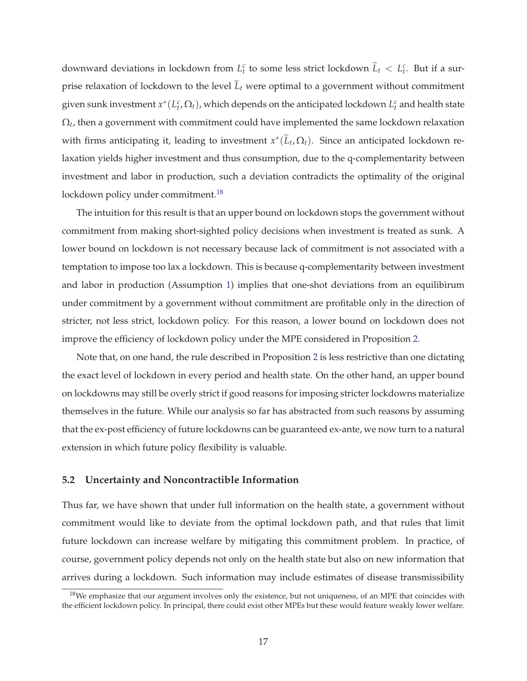downward deviations in lockdown from  $L_t^c$  to some less strict lockdown  $\widetilde{L}_t < L_t^c$ . But if a surprise relaxation of lockdown to the level  $\tilde{L}_t$  were optimal to a government without commitment given sunk investment  $x^*(L_t^c, \Omega_t)$ , which depends on the anticipated lockdown  $L_t^c$  and health state  $\Omega_t$ , then a government with commitment could have implemented the same lockdown relaxation with firms anticipating it, leading to investment  $x^*(\widetilde{L}_t,\Omega_t)$ . Since an anticipated lockdown relaxation yields higher investment and thus consumption, due to the q-complementarity between investment and labor in production, such a deviation contradicts the optimality of the original lockdown policy under commitment.<sup>18</sup>

The intuition for this result is that an upper bound on lockdown stops the government without commitment from making short-sighted policy decisions when investment is treated as sunk. A lower bound on lockdown is not necessary because lack of commitment is not associated with a temptation to impose too lax a lockdown. This is because q-complementarity between investment and labor in production (Assumption 1) implies that one-shot deviations from an equilibirum under commitment by a government without commitment are profitable only in the direction of stricter, not less strict, lockdown policy. For this reason, a lower bound on lockdown does not improve the efficiency of lockdown policy under the MPE considered in Proposition 2.

Note that, on one hand, the rule described in Proposition 2 is less restrictive than one dictating the exact level of lockdown in every period and health state. On the other hand, an upper bound on lockdowns may still be overly strict if good reasons for imposing stricter lockdowns materialize themselves in the future. While our analysis so far has abstracted from such reasons by assuming that the ex-post efficiency of future lockdowns can be guaranteed ex-ante, we now turn to a natural extension in which future policy flexibility is valuable.

#### **5.2 Uncertainty and Noncontractible Information**

Thus far, we have shown that under full information on the health state, a government without commitment would like to deviate from the optimal lockdown path, and that rules that limit future lockdown can increase welfare by mitigating this commitment problem. In practice, of course, government policy depends not only on the health state but also on new information that arrives during a lockdown. Such information may include estimates of disease transmissibility

 $18$ We emphasize that our argument involves only the existence, but not uniqueness, of an MPE that coincides with the efficient lockdown policy. In principal, there could exist other MPEs but these would feature weakly lower welfare.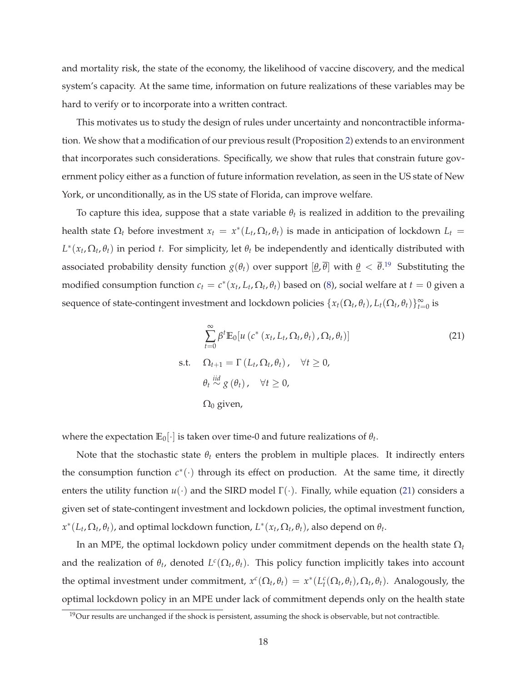and mortality risk, the state of the economy, the likelihood of vaccine discovery, and the medical system's capacity. At the same time, information on future realizations of these variables may be hard to verify or to incorporate into a written contract.

This motivates us to study the design of rules under uncertainty and noncontractible information. We show that a modification of our previous result (Proposition 2) extends to an environment that incorporates such considerations. Specifically, we show that rules that constrain future government policy either as a function of future information revelation, as seen in the US state of New York, or unconditionally, as in the US state of Florida, can improve welfare.

To capture this idea, suppose that a state variable  $\theta_t$  is realized in addition to the prevailing health state  $\Omega_t$  before investment  $x_t = x^*(L_t, \Omega_t, \theta_t)$  is made in anticipation of lockdown  $L_t =$  $L^*(x_t, \Omega_t, \theta_t)$  in period *t*. For simplicity, let  $\theta_t$  be independently and identically distributed with associated probability density function  $g(\theta_t)$  over support  $[\theta,\overline{\theta}]$  with  $\theta < \overline{\theta}$ .<sup>19</sup> Substituting the modified consumption function  $c_t = c^*(x_t, L_t, \Omega_t, \theta_t)$  based on (8), social welfare at  $t = 0$  given a sequence of state-contingent investment and lockdown policies  $\{x_t(\Omega_t, \theta_t), L_t(\Omega_t, \theta_t)\}_{t=0}^{\infty}$  is

$$
\sum_{t=0}^{\infty} \beta^t \mathbb{E}_0[u\left(c^*\left(x_t, L_t, \Omega_t, \theta_t\right), \Omega_t, \theta_t\right)]
$$
\ns.t. 
$$
\Omega_{t+1} = \Gamma\left(L_t, \Omega_t, \theta_t\right), \quad \forall t \ge 0,
$$
\n
$$
\theta_t \stackrel{iid}{\sim} g\left(\theta_t\right), \quad \forall t \ge 0,
$$
\n
$$
\Omega_0 \text{ given,}
$$
\n(21)

where the expectation  $\mathbb{E}_0[\cdot]$  is taken over time-0 and future realizations of  $\theta_t$ .

Note that the stochastic state  $\theta_t$  enters the problem in multiple places. It indirectly enters the consumption function  $c^*(\cdot)$  through its effect on production. At the same time, it directly enters the utility function  $u(\cdot)$  and the SIRD model  $\Gamma(\cdot)$ . Finally, while equation (21) considers a given set of state-contingent investment and lockdown policies, the optimal investment function,  $x^*(L_t, \Omega_t, \theta_t)$ , and optimal lockdown function,  $L^*(x_t, \Omega_t, \theta_t)$ , also depend on  $\theta_t$ .

In an MPE, the optimal lockdown policy under commitment depends on the health state Ω*<sup>t</sup>* and the realization of  $\theta_t$ , denoted  $L^c(\Omega_t, \theta_t)$ . This policy function implicitly takes into account the optimal investment under commitment,  $x^c(\Omega_t, \theta_t) = x^*(L_t^c(\Omega_t, \theta_t), \Omega_t, \theta_t)$ . Analogously, the optimal lockdown policy in an MPE under lack of commitment depends only on the health state

 $19$ Our results are unchanged if the shock is persistent, assuming the shock is observable, but not contractible.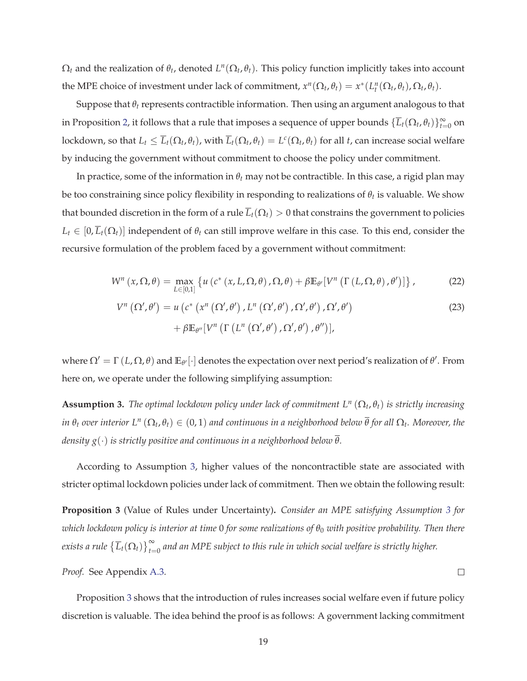$\Omega_t$  and the realization of  $\theta_t$ , denoted  $L^n(\Omega_t, \theta_t)$ . This policy function implicitly takes into account the MPE choice of investment under lack of commitment,  $x^n(\Omega_t, \theta_t) = x^*(L_t^n(\Omega_t, \theta_t), \Omega_t, \theta_t)$ .

Suppose that *θ<sup>t</sup>* represents contractible information. Then using an argument analogous to that in Proposition 2, it follows that a rule that imposes a sequence of upper bounds  $\{\overline{L}_t(\Omega_t,\theta_t)\}_{t=0}^\infty$  on lockdown, so that  $L_t\le\overline L_t(\Omega_t,\theta_t)$ , with  $\overline L_t(\Omega_t,\theta_t)=L^c(\Omega_t,\theta_t)$  for all  $t$ , can increase social welfare by inducing the government without commitment to choose the policy under commitment.

In practice, some of the information in  $\theta_t$  may not be contractible. In this case, a rigid plan may be too constraining since policy flexibility in responding to realizations of *θ<sup>t</sup>* is valuable. We show that bounded discretion in the form of a rule  $\overline{L}_t(\Omega_t) > 0$  that constrains the government to policies  $L_t \in [0, \overline{L}_t(\Omega_t)]$  independent of  $\theta_t$  can still improve welfare in this case. To this end, consider the recursive formulation of the problem faced by a government without commitment:

$$
W^{n}(x,\Omega,\theta) = \max_{L \in [0,1]} \left\{ u\left(c^{*}\left(x,L,\Omega,\theta\right),\Omega,\theta\right) + \beta \mathbb{E}_{\theta'}[V^{n}\left(\Gamma\left(L,\Omega,\theta\right),\theta'\right)] \right\},\tag{22}
$$

$$
V^{n}(\Omega',\theta') = u\left(c^{*}\left(x^{n}\left(\Omega',\theta'\right),L^{n}\left(\Omega',\theta'\right),\Omega',\theta'\right),\Omega',\theta'\right) + \beta \mathbb{E}_{\theta''}[V^{n}\left(\Gamma\left(L^{n}\left(\Omega',\theta'\right),\Omega',\theta'\right),\theta''\right)],
$$
\n(23)

where  $\Omega' = \Gamma(L, \Omega, \theta)$  and  $\mathbb{E}_{\theta'}[\cdot]$  denotes the expectation over next period's realization of  $\theta'$ . From here on, we operate under the following simplifying assumption:

**Assumption 3.** *The optimal lockdown policy under lack of commitment L<sup>n</sup>* (Ω*<sup>t</sup>* , *θt*) *is strictly increasing*  $i$ *n*  $\theta_t$  *over interior L*<sup>n</sup> ( $\Omega_t$ ,  $\theta_t) \in (0,1)$  and continuous in a neighborhood below  $\overline{\theta}$  for all  $\Omega_t$ . Moreover, the *density g*(·) *is strictly positive and continuous in a neighborhood below θ.*

According to Assumption 3, higher values of the noncontractible state are associated with stricter optimal lockdown policies under lack of commitment. Then we obtain the following result:

**Proposition 3** (Value of Rules under Uncertainty)**.** *Consider an MPE satisfying Assumption 3 for which lockdown policy is interior at time* 0 *for some realizations of θ*<sup>0</sup> *with positive probability. Then there* exists a rule  $\{\overline{L}_t(\Omega_t)\}_{t=0}^\infty$  and an MPE subject to this rule in which social welfare is strictly higher.

*Proof.* See Appendix A.3.

Proposition 3 shows that the introduction of rules increases social welfare even if future policy discretion is valuable. The idea behind the proof is as follows: A government lacking commitment

 $\Box$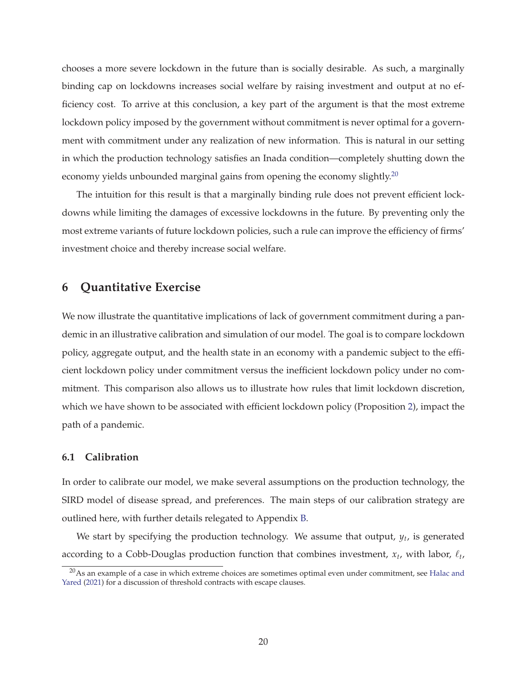chooses a more severe lockdown in the future than is socially desirable. As such, a marginally binding cap on lockdowns increases social welfare by raising investment and output at no efficiency cost. To arrive at this conclusion, a key part of the argument is that the most extreme lockdown policy imposed by the government without commitment is never optimal for a government with commitment under any realization of new information. This is natural in our setting in which the production technology satisfies an Inada condition—completely shutting down the economy yields unbounded marginal gains from opening the economy slightly.<sup>20</sup>

The intuition for this result is that a marginally binding rule does not prevent efficient lockdowns while limiting the damages of excessive lockdowns in the future. By preventing only the most extreme variants of future lockdown policies, such a rule can improve the efficiency of firms' investment choice and thereby increase social welfare.

## **6 Quantitative Exercise**

We now illustrate the quantitative implications of lack of government commitment during a pandemic in an illustrative calibration and simulation of our model. The goal is to compare lockdown policy, aggregate output, and the health state in an economy with a pandemic subject to the efficient lockdown policy under commitment versus the inefficient lockdown policy under no commitment. This comparison also allows us to illustrate how rules that limit lockdown discretion, which we have shown to be associated with efficient lockdown policy (Proposition 2), impact the path of a pandemic.

### **6.1 Calibration**

In order to calibrate our model, we make several assumptions on the production technology, the SIRD model of disease spread, and preferences. The main steps of our calibration strategy are outlined here, with further details relegated to Appendix B.

We start by specifying the production technology. We assume that output, *y<sup>t</sup>* , is generated according to a Cobb-Douglas production function that combines investment,  $x_t$ , with labor,  $\ell_t$ ,

 $^{20}$ As an example of a case in which extreme choices are sometimes optimal even under commitment, see Halac and Yared (2021) for a discussion of threshold contracts with escape clauses.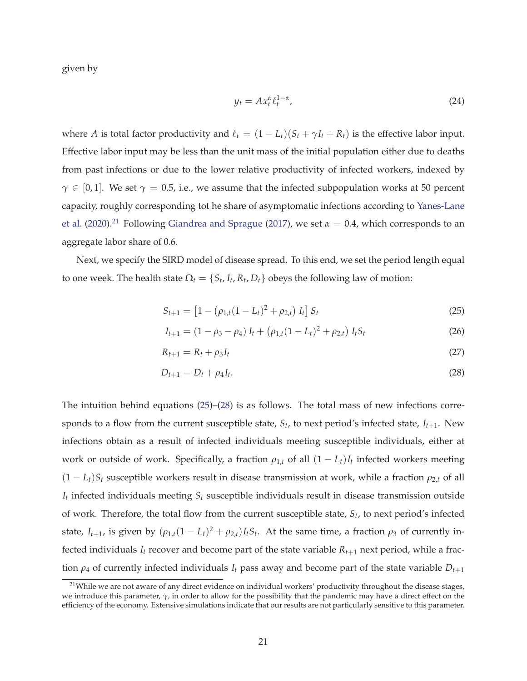given by

$$
y_t = Ax_t^{\alpha} \ell_t^{1-\alpha}, \tag{24}
$$

where *A* is total factor productivity and  $\ell_t = (1 - L_t)(S_t + \gamma I_t + R_t)$  is the effective labor input. Effective labor input may be less than the unit mass of the initial population either due to deaths from past infections or due to the lower relative productivity of infected workers, indexed by  $\gamma \in [0,1]$ . We set  $\gamma = 0.5$ , i.e., we assume that the infected subpopulation works at 50 percent capacity, roughly corresponding tot he share of asymptomatic infections according to Yanes-Lane et al. (2020).<sup>21</sup> Following Giandrea and Sprague (2017), we set  $\alpha = 0.4$ , which corresponds to an aggregate labor share of 0.6.

Next, we specify the SIRD model of disease spread. To this end, we set the period length equal to one week. The health state  $\Omega_t = \{S_t, I_t, R_t, D_t\}$  obeys the following law of motion:

$$
S_{t+1} = [1 - (\rho_{1,t}(1 - L_t)^2 + \rho_{2,t}) I_t] S_t
$$
\n(25)

$$
I_{t+1} = (1 - \rho_3 - \rho_4) I_t + (\rho_{1,t}(1 - L_t)^2 + \rho_{2,t}) I_t S_t
$$
\n(26)

$$
R_{t+1} = R_t + \rho_3 I_t \tag{27}
$$

$$
D_{t+1} = D_t + \rho_4 I_t. \tag{28}
$$

The intuition behind equations (25)–(28) is as follows. The total mass of new infections corresponds to a flow from the current susceptible state, *S<sup>t</sup>* , to next period's infected state, *It*+1. New infections obtain as a result of infected individuals meeting susceptible individuals, either at work or outside of work. Specifically, a fraction  $\rho_{1,t}$  of all  $(1 - L_t)I_t$  infected workers meeting  $(1 - L_t)S_t$  susceptible workers result in disease transmission at work, while a fraction  $\rho_{2,t}$  of all *It* infected individuals meeting *S<sup>t</sup>* susceptible individuals result in disease transmission outside of work. Therefore, the total flow from the current susceptible state, *S<sup>t</sup>* , to next period's infected state,  $I_{t+1}$ , is given by  $(\rho_{1,t}(1-L_t)^2 + \rho_{2,t})I_tS_t$ . At the same time, a fraction  $\rho_3$  of currently infected individuals  $I_t$  recover and become part of the state variable  $R_{t+1}$  next period, while a fraction  $\rho_4$  of currently infected individuals  $I_t$  pass away and become part of the state variable  $D_{t+1}$ 

<sup>&</sup>lt;sup>21</sup>While we are not aware of any direct evidence on individual workers' productivity throughout the disease stages, we introduce this parameter, *γ*, in order to allow for the possibility that the pandemic may have a direct effect on the efficiency of the economy. Extensive simulations indicate that our results are not particularly sensitive to this parameter.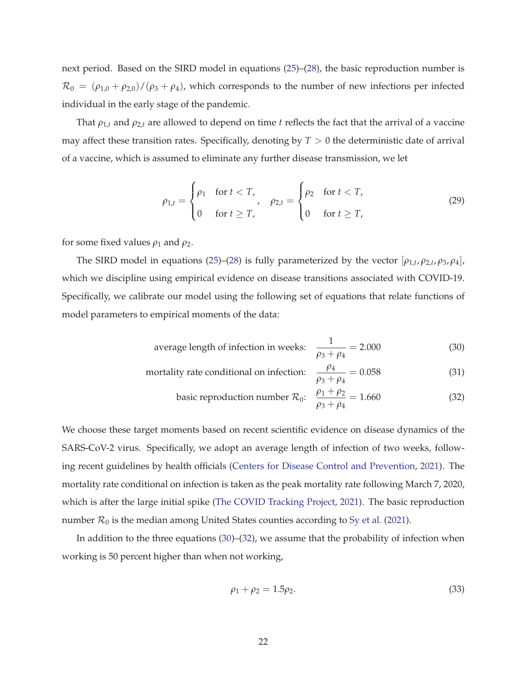next period. Based on the SIRD model in equations (25)–(28), the basic reproduction number is  $\mathcal{R}_0 = (\rho_{1,0} + \rho_{2,0})/(\rho_3 + \rho_4)$ , which corresponds to the number of new infections per infected individual in the early stage of the pandemic.

That  $\rho_{1,t}$  and  $\rho_{2,t}$  are allowed to depend on time *t* reflects the fact that the arrival of a vaccine may affect these transition rates. Specifically, denoting by  $T > 0$  the deterministic date of arrival of a vaccine, which is assumed to eliminate any further disease transmission, we let

$$
\rho_{1,t} = \begin{cases} \rho_1 & \text{for } t < T, \\ 0 & \text{for } t \ge T, \end{cases} \quad \rho_{2,t} = \begin{cases} \rho_2 & \text{for } t < T, \\ 0 & \text{for } t \ge T, \end{cases} \tag{29}
$$

for some fixed values  $\rho_1$  and  $\rho_2$ .

The SIRD model in equations (25)–(28) is fully parameterized by the vector  $[\rho_{1,t}, \rho_{2,t}, \rho_3, \rho_4]$ , which we discipline using empirical evidence on disease transitions associated with COVID-19. Specifically, we calibrate our model using the following set of equations that relate functions of model parameters to empirical moments of the data:

average length of infection in weeks: 
$$
\frac{1}{\rho_3 + \rho_4} = 2.000
$$
 (30)

mortality rate conditional on infection: 
$$
\frac{\rho_4}{\rho_3 + \rho_4} = 0.058
$$
 (31)

$$
\text{basic reproduction number } \mathcal{R}_0: \quad \frac{\rho_1 + \rho_2}{\rho_3 + \rho_4} = 1.660 \tag{32}
$$

We choose these target moments based on recent scientific evidence on disease dynamics of the SARS-CoV-2 virus. Specifically, we adopt an average length of infection of two weeks, following recent guidelines by health officials (Centers for Disease Control and Prevention, 2021). The mortality rate conditional on infection is taken as the peak mortality rate following March 7, 2020, which is after the large initial spike (The COVID Tracking Project, 2021). The basic reproduction number  $\mathcal{R}_0$  is the median among United States counties according to Sy et al. (2021).

In addition to the three equations (30)–(32), we assume that the probability of infection when working is 50 percent higher than when not working,

$$
\rho_1 + \rho_2 = 1.5 \rho_2. \tag{33}
$$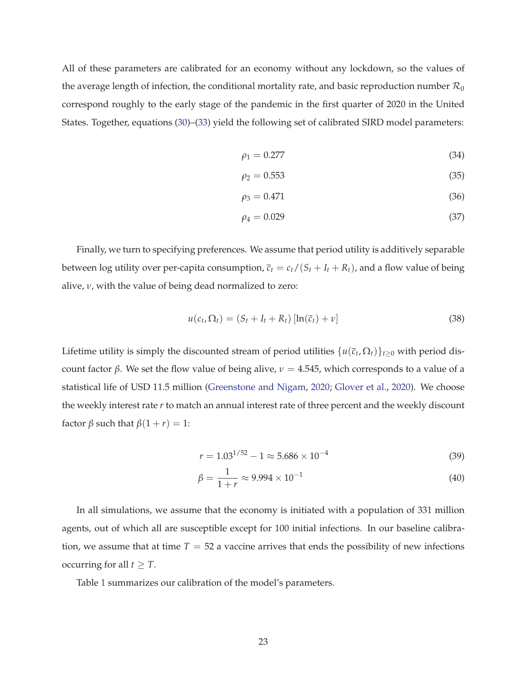All of these parameters are calibrated for an economy without any lockdown, so the values of the average length of infection, the conditional mortality rate, and basic reproduction number  $\mathcal{R}_0$ correspond roughly to the early stage of the pandemic in the first quarter of 2020 in the United States. Together, equations (30)–(33) yield the following set of calibrated SIRD model parameters:

$$
\rho_1 = 0.277\tag{34}
$$

$$
\rho_2 = 0.553\tag{35}
$$

$$
\rho_3 = 0.471\tag{36}
$$

$$
\rho_4 = 0.029\tag{37}
$$

Finally, we turn to specifying preferences. We assume that period utility is additively separable between log utility over per-capita consumption,  $\overline{c}_t = c_t/(S_t + I_t + R_t)$ , and a flow value of being alive, *ν*, with the value of being dead normalized to zero:

$$
u(c_t, \Omega_t) = (S_t + I_t + R_t) [\ln(\overline{c}_t) + \nu]
$$
\n(38)

Lifetime utility is simply the discounted stream of period utilities  $\{u(\bar{c}_t, \Omega_t)\}_{t\geq 0}$  with period discount factor *β*. We set the flow value of being alive,  $\nu = 4.545$ , which corresponds to a value of a statistical life of USD 11.5 million (Greenstone and Nigam, 2020; Glover et al., 2020). We choose the weekly interest rate *r* to match an annual interest rate of three percent and the weekly discount factor  $\beta$  such that  $\beta(1 + r) = 1$ :

$$
r = 1.03^{1/52} - 1 \approx 5.686 \times 10^{-4}
$$
 (39)

$$
\beta = \frac{1}{1+r} \approx 9.994 \times 10^{-1}
$$
\n(40)

In all simulations, we assume that the economy is initiated with a population of 331 million agents, out of which all are susceptible except for 100 initial infections. In our baseline calibration, we assume that at time  $T = 52$  a vaccine arrives that ends the possibility of new infections occurring for all  $t \geq T$ .

Table 1 summarizes our calibration of the model's parameters.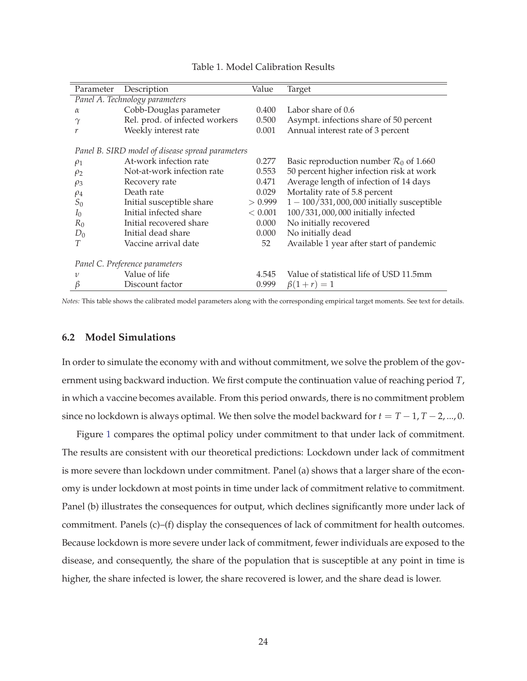| Parameter                                        | Description                    | Value   | Target                                             |  |  |  |  |
|--------------------------------------------------|--------------------------------|---------|----------------------------------------------------|--|--|--|--|
| Panel A. Technology parameters                   |                                |         |                                                    |  |  |  |  |
| $\alpha$                                         | Cobb-Douglas parameter         | 0.400   | Labor share of 0.6                                 |  |  |  |  |
| $\gamma$                                         | Rel. prod. of infected workers | 0.500   | Asympt. infections share of 50 percent             |  |  |  |  |
| r                                                | Weekly interest rate           | 0.001   | Annual interest rate of 3 percent                  |  |  |  |  |
| Panel B. SIRD model of disease spread parameters |                                |         |                                                    |  |  |  |  |
| $\rho_1$                                         | At-work infection rate         | 0.277   | Basic reproduction number $\mathcal{R}_0$ of 1.660 |  |  |  |  |
| $\rho_2$                                         | Not-at-work infection rate     | 0.553   | 50 percent higher infection risk at work           |  |  |  |  |
| $\rho_3$                                         | Recovery rate                  | 0.471   | Average length of infection of 14 days             |  |  |  |  |
| $\rho_4$                                         | Death rate                     | 0.029   | Mortality rate of 5.8 percent                      |  |  |  |  |
| $S_0$                                            | Initial susceptible share      | > 0.999 | $1 - 100/331$ , 000, 000 initially susceptible     |  |  |  |  |
| $I_0$                                            | Initial infected share         | < 0.001 | 100/331,000,000 initially infected                 |  |  |  |  |
| $R_0$                                            | Initial recovered share        | 0.000   | No initially recovered                             |  |  |  |  |
| $D_0$                                            | Initial dead share             | 0.000   | No initially dead                                  |  |  |  |  |
| T                                                | Vaccine arrival date           | 52      | Available 1 year after start of pandemic           |  |  |  |  |
| Panel C. Preference parameters                   |                                |         |                                                    |  |  |  |  |
| 1/                                               | Value of life                  | 4.545   | Value of statistical life of USD 11.5mm            |  |  |  |  |
| β                                                | Discount factor                | 0.999   | $\beta(1+r) = 1$                                   |  |  |  |  |

#### Table 1. Model Calibration Results

*Notes:* This table shows the calibrated model parameters along with the corresponding empirical target moments. See text for details.

### **6.2 Model Simulations**

In order to simulate the economy with and without commitment, we solve the problem of the government using backward induction. We first compute the continuation value of reaching period *T*, in which a vaccine becomes available. From this period onwards, there is no commitment problem since no lockdown is always optimal. We then solve the model backward for  $t = T - 1, T - 2, ..., 0$ .

Figure 1 compares the optimal policy under commitment to that under lack of commitment. The results are consistent with our theoretical predictions: Lockdown under lack of commitment is more severe than lockdown under commitment. Panel (a) shows that a larger share of the economy is under lockdown at most points in time under lack of commitment relative to commitment. Panel (b) illustrates the consequences for output, which declines significantly more under lack of commitment. Panels (c)–(f) display the consequences of lack of commitment for health outcomes. Because lockdown is more severe under lack of commitment, fewer individuals are exposed to the disease, and consequently, the share of the population that is susceptible at any point in time is higher, the share infected is lower, the share recovered is lower, and the share dead is lower.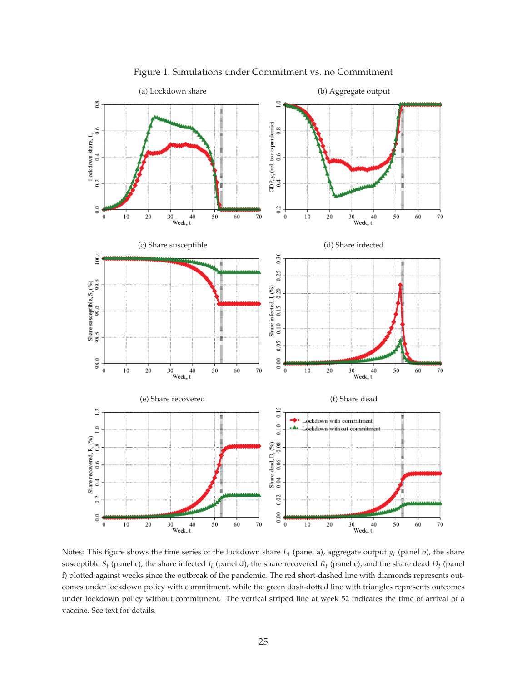

Figure 1. Simulations under Commitment vs. no Commitment

Notes: This figure shows the time series of the lockdown share *L<sup>t</sup>* (panel a), aggregate output *y<sup>t</sup>* (panel b), the share susceptible  $S_t$  (panel c), the share infected  $I_t$  (panel d), the share recovered  $R_t$  (panel e), and the share dead  $D_t$  (panel f) plotted against weeks since the outbreak of the pandemic. The red short-dashed line with diamonds represents outcomes under lockdown policy with commitment, while the green dash-dotted line with triangles represents outcomes under lockdown policy without commitment. The vertical striped line at week 52 indicates the time of arrival of a vaccine. See text for details.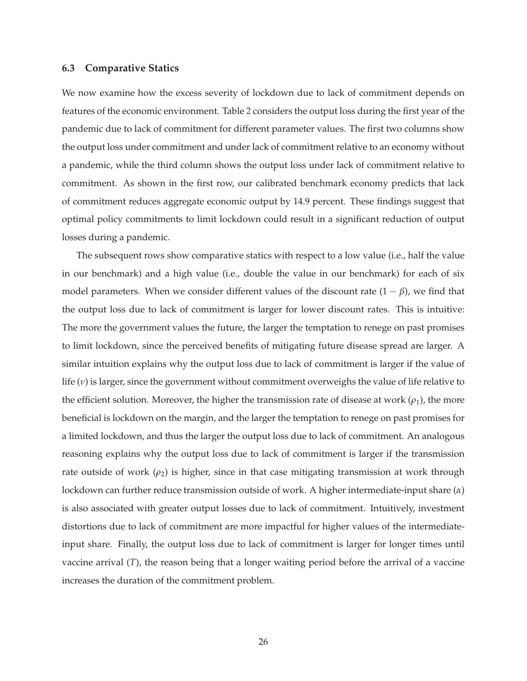#### **6.3 Comparative Statics**

We now examine how the excess severity of lockdown due to lack of commitment depends on features of the economic environment. Table 2 considers the output loss during the first year of the pandemic due to lack of commitment for different parameter values. The first two columns show the output loss under commitment and under lack of commitment relative to an economy without a pandemic, while the third column shows the output loss under lack of commitment relative to commitment. As shown in the first row, our calibrated benchmark economy predicts that lack of commitment reduces aggregate economic output by 14.9 percent. These findings suggest that optimal policy commitments to limit lockdown could result in a significant reduction of output losses during a pandemic.

The subsequent rows show comparative statics with respect to a low value (i.e., half the value in our benchmark) and a high value (i.e., double the value in our benchmark) for each of six model parameters. When we consider different values of the discount rate  $(1 - \beta)$ , we find that the output loss due to lack of commitment is larger for lower discount rates. This is intuitive: The more the government values the future, the larger the temptation to renege on past promises to limit lockdown, since the perceived benefits of mitigating future disease spread are larger. A similar intuition explains why the output loss due to lack of commitment is larger if the value of life (*ν*) is larger, since the government without commitment overweighs the value of life relative to the efficient solution. Moreover, the higher the transmission rate of disease at work  $(\rho_1)$ , the more beneficial is lockdown on the margin, and the larger the temptation to renege on past promises for a limited lockdown, and thus the larger the output loss due to lack of commitment. An analogous reasoning explains why the output loss due to lack of commitment is larger if the transmission rate outside of work  $(\rho_2)$  is higher, since in that case mitigating transmission at work through lockdown can further reduce transmission outside of work. A higher intermediate-input share (*α*) is also associated with greater output losses due to lack of commitment. Intuitively, investment distortions due to lack of commitment are more impactful for higher values of the intermediateinput share. Finally, the output loss due to lack of commitment is larger for longer times until vaccine arrival (*T*), the reason being that a longer waiting period before the arrival of a vaccine increases the duration of the commitment problem.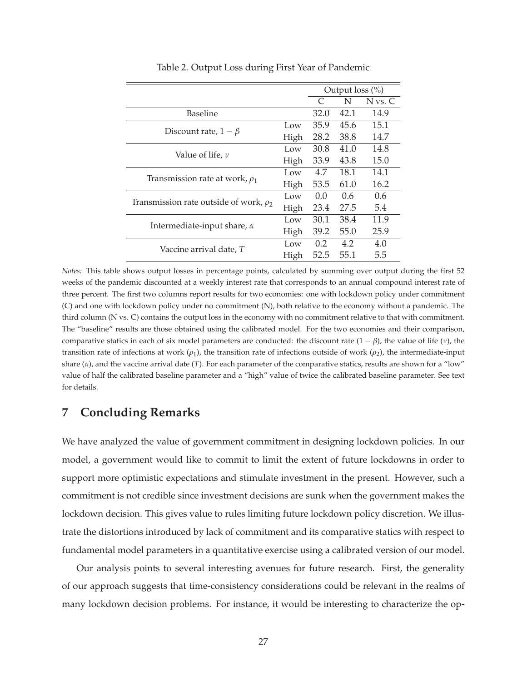|                                             |      | Output $loss$ (%)           |      |             |
|---------------------------------------------|------|-----------------------------|------|-------------|
|                                             |      | $\mathcal{C}_{\mathcal{C}}$ | N    | $N$ vs. $C$ |
| Baseline                                    |      | 32.0                        | 42.1 | 14.9        |
|                                             | Low  | 35.9                        | 45.6 | 15.1        |
| Discount rate, $1 - \beta$                  | High | 28.2                        | 38.8 | 14.7        |
| Value of life, $\nu$                        | Low  | 30.8                        | 41.0 | 14.8        |
|                                             | High | 33.9                        | 43.8 | 15.0        |
|                                             | Low  | 4.7                         | 18.1 | 14.1        |
| Transmission rate at work, $\rho_1$         | High | 53.5                        | 61.0 | 16.2        |
|                                             | Low  | $0.0^{\circ}$               | 0.6  | 0.6         |
| Transmission rate outside of work, $\rho_2$ | High | 23.4                        | 27.5 | 5.4         |
|                                             | Low  | 30.1                        | 38.4 | 11.9        |
| Intermediate-input share, $\alpha$          | High | 39.2                        | 55.0 | 25.9        |
|                                             | Low  | 0.2                         | 4.2  | 4.0         |
| Vaccine arrival date, T                     | High | 52.5                        | 55.1 | 5.5         |

Table 2. Output Loss during First Year of Pandemic

*Notes:* This table shows output losses in percentage points, calculated by summing over output during the first 52 weeks of the pandemic discounted at a weekly interest rate that corresponds to an annual compound interest rate of three percent. The first two columns report results for two economies: one with lockdown policy under commitment (C) and one with lockdown policy under no commitment (N), both relative to the economy without a pandemic. The third column (N vs. C) contains the output loss in the economy with no commitment relative to that with commitment. The "baseline" results are those obtained using the calibrated model. For the two economies and their comparison, comparative statics in each of six model parameters are conducted: the discount rate  $(1 - \beta)$ , the value of life (*v*), the transition rate of infections at work  $(ρ<sub>1</sub>)$ , the transition rate of infections outside of work  $(ρ<sub>2</sub>)$ , the intermediate-input share (*α*), and the vaccine arrival date (*T*). For each parameter of the comparative statics, results are shown for a "low" value of half the calibrated baseline parameter and a "high" value of twice the calibrated baseline parameter. See text for details.

## **7 Concluding Remarks**

We have analyzed the value of government commitment in designing lockdown policies. In our model, a government would like to commit to limit the extent of future lockdowns in order to support more optimistic expectations and stimulate investment in the present. However, such a commitment is not credible since investment decisions are sunk when the government makes the lockdown decision. This gives value to rules limiting future lockdown policy discretion. We illustrate the distortions introduced by lack of commitment and its comparative statics with respect to fundamental model parameters in a quantitative exercise using a calibrated version of our model.

Our analysis points to several interesting avenues for future research. First, the generality of our approach suggests that time-consistency considerations could be relevant in the realms of many lockdown decision problems. For instance, it would be interesting to characterize the op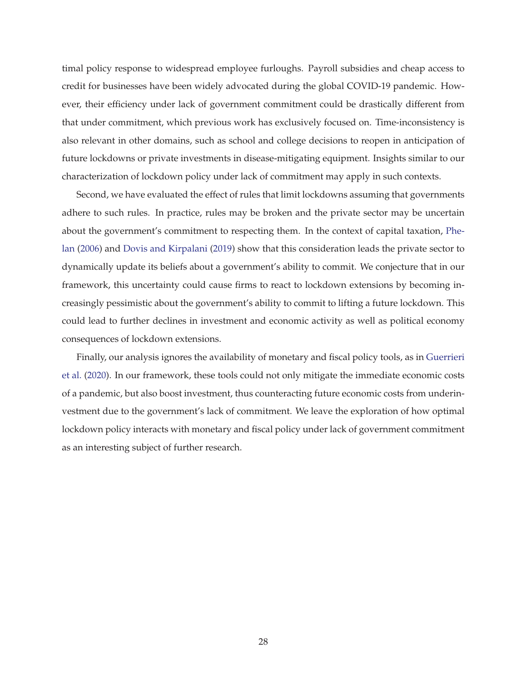timal policy response to widespread employee furloughs. Payroll subsidies and cheap access to credit for businesses have been widely advocated during the global COVID-19 pandemic. However, their efficiency under lack of government commitment could be drastically different from that under commitment, which previous work has exclusively focused on. Time-inconsistency is also relevant in other domains, such as school and college decisions to reopen in anticipation of future lockdowns or private investments in disease-mitigating equipment. Insights similar to our characterization of lockdown policy under lack of commitment may apply in such contexts.

Second, we have evaluated the effect of rules that limit lockdowns assuming that governments adhere to such rules. In practice, rules may be broken and the private sector may be uncertain about the government's commitment to respecting them. In the context of capital taxation, Phelan (2006) and Dovis and Kirpalani (2019) show that this consideration leads the private sector to dynamically update its beliefs about a government's ability to commit. We conjecture that in our framework, this uncertainty could cause firms to react to lockdown extensions by becoming increasingly pessimistic about the government's ability to commit to lifting a future lockdown. This could lead to further declines in investment and economic activity as well as political economy consequences of lockdown extensions.

Finally, our analysis ignores the availability of monetary and fiscal policy tools, as in Guerrieri et al. (2020). In our framework, these tools could not only mitigate the immediate economic costs of a pandemic, but also boost investment, thus counteracting future economic costs from underinvestment due to the government's lack of commitment. We leave the exploration of how optimal lockdown policy interacts with monetary and fiscal policy under lack of government commitment as an interesting subject of further research.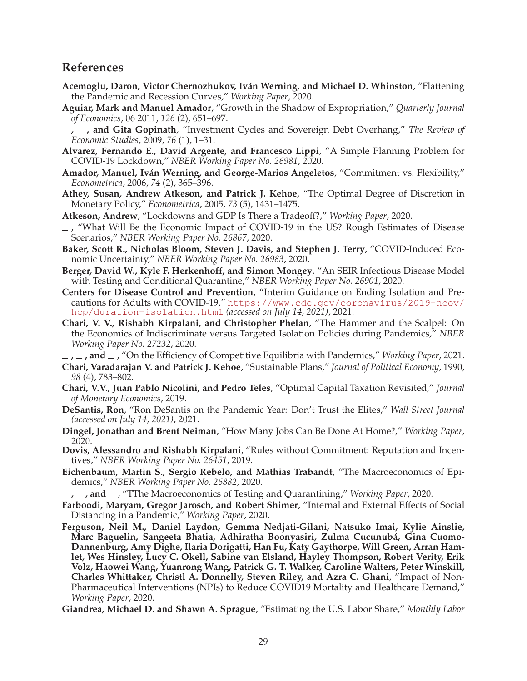# **References**

- **Acemoglu, Daron, Victor Chernozhukov, Iván Werning, and Michael D. Whinston**, "Flattening the Pandemic and Recession Curves," *Working Paper*, 2020.
- **Aguiar, Mark and Manuel Amador**, "Growth in the Shadow of Expropriation," *Quarterly Journal of Economics*, 06 2011, *126* (2), 651–697.
- **, , and Gita Gopinath**, "Investment Cycles and Sovereign Debt Overhang," *The Review of Economic Studies*, 2009, *76* (1), 1–31.
- **Alvarez, Fernando E., David Argente, and Francesco Lippi**, "A Simple Planning Problem for COVID-19 Lockdown," *NBER Working Paper No. 26981*, 2020.
- **Amador, Manuel, Iván Werning, and George-Marios Angeletos**, "Commitment vs. Flexibility," *Econometrica*, 2006, *74* (2), 365–396.
- **Athey, Susan, Andrew Atkeson, and Patrick J. Kehoe**, "The Optimal Degree of Discretion in Monetary Policy," *Econometrica*, 2005, *73* (5), 1431–1475.
- **Atkeson, Andrew**, "Lockdowns and GDP Is There a Tradeoff?," *Working Paper*, 2020.
- $-$ , "What Will Be the Economic Impact of COVID-19 in the US? Rough Estimates of Disease Scenarios," *NBER Working Paper No. 26867*, 2020.
- **Baker, Scott R., Nicholas Bloom, Steven J. Davis, and Stephen J. Terry**, "COVID-Induced Economic Uncertainty," *NBER Working Paper No. 26983*, 2020.
- **Berger, David W., Kyle F. Herkenhoff, and Simon Mongey**, "An SEIR Infectious Disease Model with Testing and Conditional Quarantine," *NBER Working Paper No. 26901*, 2020.
- **Centers for Disease Control and Prevention**, "Interim Guidance on Ending Isolation and Precautions for Adults with COVID-19," https://www.cdc.gov/coronavirus/2019-ncov/ hcp/duration-isolation.html *(accessed on July 14, 2021)*, 2021.
- **Chari, V. V., Rishabh Kirpalani, and Christopher Phelan**, "The Hammer and the Scalpel: On the Economics of Indiscriminate versus Targeted Isolation Policies during Pandemics," *NBER Working Paper No. 27232*, 2020.

 $\mu$ , **, and** , "On the Efficiency of Competitive Equilibria with Pandemics," *Working Paper*, 2021.

- **Chari, Varadarajan V. and Patrick J. Kehoe**, "Sustainable Plans," *Journal of Political Economy*, 1990, *98* (4), 783–802.
- **Chari, V.V., Juan Pablo Nicolini, and Pedro Teles**, "Optimal Capital Taxation Revisited," *Journal of Monetary Economics*, 2019.
- **DeSantis, Ron**, "Ron DeSantis on the Pandemic Year: Don't Trust the Elites," *Wall Street Journal (accessed on July 14, 2021)*, 2021.
- **Dingel, Jonathan and Brent Neiman**, "How Many Jobs Can Be Done At Home?," *Working Paper*, 2020.
- **Dovis, Alessandro and Rishabh Kirpalani**, "Rules without Commitment: Reputation and Incentives," *NBER Working Paper No. 26451*, 2019.
- **Eichenbaum, Martin S., Sergio Rebelo, and Mathias Trabandt**, "The Macroeconomics of Epidemics," *NBER Working Paper No. 26882*, 2020.
- **, , and** , "TThe Macroeconomics of Testing and Quarantining," *Working Paper*, 2020.
- **Farboodi, Maryam, Gregor Jarosch, and Robert Shimer**, "Internal and External Effects of Social Distancing in a Pandemic," *Working Paper*, 2020.
- **Ferguson, Neil M., Daniel Laydon, Gemma Nedjati-Gilani, Natsuko Imai, Kylie Ainslie, Marc Baguelin, Sangeeta Bhatia, Adhiratha Boonyasiri, Zulma Cucunubá, Gina Cuomo-Dannenburg, Amy Dighe, Ilaria Dorigatti, Han Fu, Katy Gaythorpe, Will Green, Arran Hamlet, Wes Hinsley, Lucy C. Okell, Sabine van Elsland, Hayley Thompson, Robert Verity, Erik Volz, Haowei Wang, Yuanrong Wang, Patrick G. T. Walker, Caroline Walters, Peter Winskill, Charles Whittaker, Christl A. Donnelly, Steven Riley, and Azra C. Ghani**, "Impact of Non-Pharmaceutical Interventions (NPIs) to Reduce COVID19 Mortality and Healthcare Demand," *Working Paper*, 2020.

**Giandrea, Michael D. and Shawn A. Sprague**, "Estimating the U.S. Labor Share," *Monthly Labor*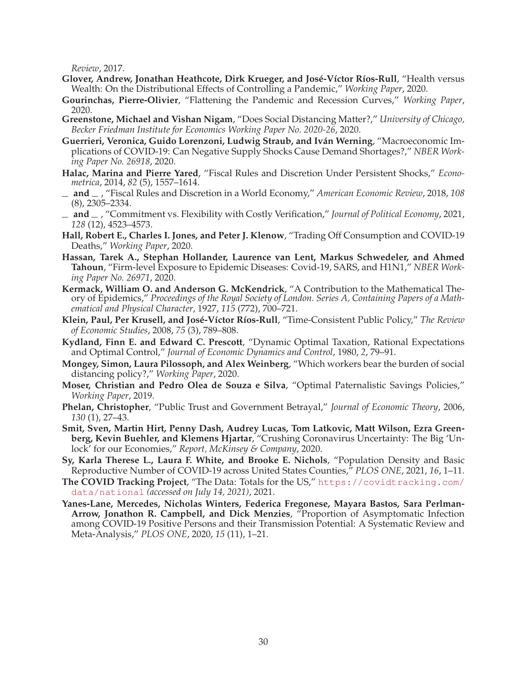*Review*, 2017.

- **Glover, Andrew, Jonathan Heathcote, Dirk Krueger, and José-Víctor Ríos-Rull**, "Health versus Wealth: On the Distributional Effects of Controlling a Pandemic," *Working Paper*, 2020.
- **Gourinchas, Pierre-Olivier**, "Flattening the Pandemic and Recession Curves," *Working Paper*, 2020.
- **Greenstone, Michael and Vishan Nigam**, "Does Social Distancing Matter?," *University of Chicago, Becker Friedman Institute for Economics Working Paper No. 2020-26*, 2020.
- **Guerrieri, Veronica, Guido Lorenzoni, Ludwig Straub, and Iván Werning**, "Macroeconomic Implications of COVID-19: Can Negative Supply Shocks Cause Demand Shortages?," *NBER Working Paper No. 26918*, 2020.
- **Halac, Marina and Pierre Yared**, "Fiscal Rules and Discretion Under Persistent Shocks," *Econometrica*, 2014, *82* (5), 1557–1614.
- **and** , "Fiscal Rules and Discretion in a World Economy," *American Economic Review*, 2018, *108* (8), 2305–2334.
- **and** , "Commitment vs. Flexibility with Costly Verification," *Journal of Political Economy*, 2021, *128* (12), 4523–4573.
- **Hall, Robert E., Charles I. Jones, and Peter J. Klenow**, "Trading Off Consumption and COVID-19 Deaths," *Working Paper*, 2020.
- **Hassan, Tarek A., Stephan Hollander, Laurence van Lent, Markus Schwedeler, and Ahmed Tahoun**, "Firm-level Exposure to Epidemic Diseases: Covid-19, SARS, and H1N1," *NBER Working Paper No. 26971*, 2020.
- **Kermack, William O. and Anderson G. McKendrick**, "A Contribution to the Mathematical Theory of Epidemics," *Proceedings of the Royal Society of London. Series A, Containing Papers of a Mathematical and Physical Character*, 1927, *115* (772), 700–721.
- **Klein, Paul, Per Krusell, and José-Víctor Ríos-Rull**, "Time-Consistent Public Policy," *The Review of Economic Studies*, 2008, *75* (3), 789–808.
- **Kydland, Finn E. and Edward C. Prescott**, "Dynamic Optimal Taxation, Rational Expectations and Optimal Control," *Journal of Economic Dynamics and Control*, 1980, *2*, 79–91.
- **Mongey, Simon, Laura Pilossoph, and Alex Weinberg**, "Which workers bear the burden of social distancing policy?," *Working Paper*, 2020.
- **Moser, Christian and Pedro Olea de Souza e Silva**, "Optimal Paternalistic Savings Policies," *Working Paper*, 2019.
- **Phelan, Christopher**, "Public Trust and Government Betrayal," *Journal of Economic Theory*, 2006, *130* (1), 27–43.
- **Smit, Sven, Martin Hirt, Penny Dash, Audrey Lucas, Tom Latkovic, Matt Wilson, Ezra Greenberg, Kevin Buehler, and Klemens Hjartar**, "Crushing Coronavirus Uncertainty: The Big 'Unlock' for our Economies," *Report, McKinsey & Company*, 2020.
- **Sy, Karla Therese L., Laura F. White, and Brooke E. Nichols**, "Population Density and Basic Reproductive Number of COVID-19 across United States Counties," *PLOS ONE*, 2021, *16*, 1–11.
- **The COVID Tracking Project**, "The Data: Totals for the US," https://covidtracking.com/ data/national *(accessed on July 14, 2021)*, 2021.
- **Yanes-Lane, Mercedes, Nicholas Winters, Federica Fregonese, Mayara Bastos, Sara Perlman-Arrow, Jonathon R. Campbell, and Dick Menzies**, "Proportion of Asymptomatic Infection among COVID-19 Positive Persons and their Transmission Potential: A Systematic Review and Meta-Analysis," *PLOS ONE*, 2020, *15* (11), 1–21.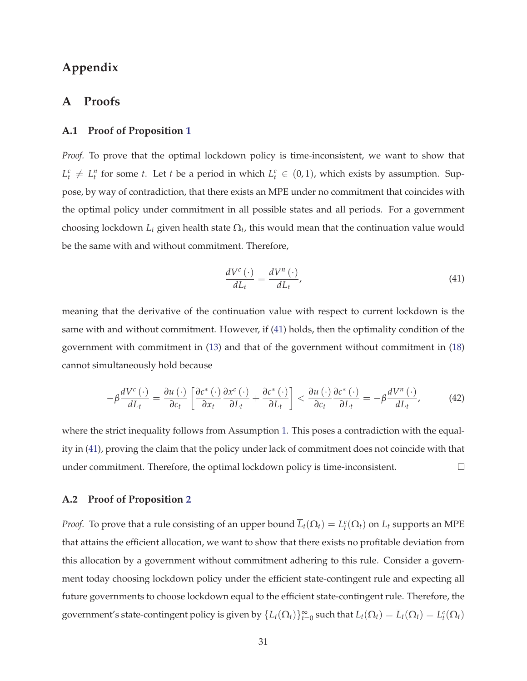# **Appendix**

## **A Proofs**

#### **A.1 Proof of Proposition 1**

*Proof.* To prove that the optimal lockdown policy is time-inconsistent, we want to show that  $L_t^c \neq L_t^n$  for some *t*. Let *t* be a period in which  $L_t^c \in (0,1)$ , which exists by assumption. Suppose, by way of contradiction, that there exists an MPE under no commitment that coincides with the optimal policy under commitment in all possible states and all periods. For a government choosing lockdown  $L_t$  given health state  $\Omega_t$ , this would mean that the continuation value would be the same with and without commitment. Therefore,

$$
\frac{dV^{c}\left(\cdot\right)}{dL_{t}} = \frac{dV^{n}\left(\cdot\right)}{dL_{t}},\tag{41}
$$

meaning that the derivative of the continuation value with respect to current lockdown is the same with and without commitment. However, if (41) holds, then the optimality condition of the government with commitment in (13) and that of the government without commitment in (18) cannot simultaneously hold because

$$
-\beta \frac{dV^{c}(\cdot)}{dL_{t}} = \frac{\partial u(\cdot)}{\partial c_{t}} \left[ \frac{\partial c^{*}(\cdot)}{\partial x_{t}} \frac{\partial x^{c}(\cdot)}{\partial L_{t}} + \frac{\partial c^{*}(\cdot)}{\partial L_{t}} \right] < \frac{\partial u(\cdot)}{\partial c_{t}} \frac{\partial c^{*}(\cdot)}{\partial L_{t}} = -\beta \frac{dV^{n}(\cdot)}{dL_{t}}, \quad (42)
$$

where the strict inequality follows from Assumption 1. This poses a contradiction with the equality in (41), proving the claim that the policy under lack of commitment does not coincide with that under commitment. Therefore, the optimal lockdown policy is time-inconsistent.  $\Box$ 

#### **A.2 Proof of Proposition 2**

*Proof.* To prove that a rule consisting of an upper bound  $\overline{L}_t(\Omega_t) = L_t^c(\Omega_t)$  on  $L_t$  supports an MPE that attains the efficient allocation, we want to show that there exists no profitable deviation from this allocation by a government without commitment adhering to this rule. Consider a government today choosing lockdown policy under the efficient state-contingent rule and expecting all future governments to choose lockdown equal to the efficient state-contingent rule. Therefore, the government's state-contingent policy is given by  $\{L_t(\Omega_t)\}_{t=0}^{\infty}$  such that  $L_t(\Omega_t) = \overline{L}_t(\Omega_t) = L_t^c(\Omega_t)$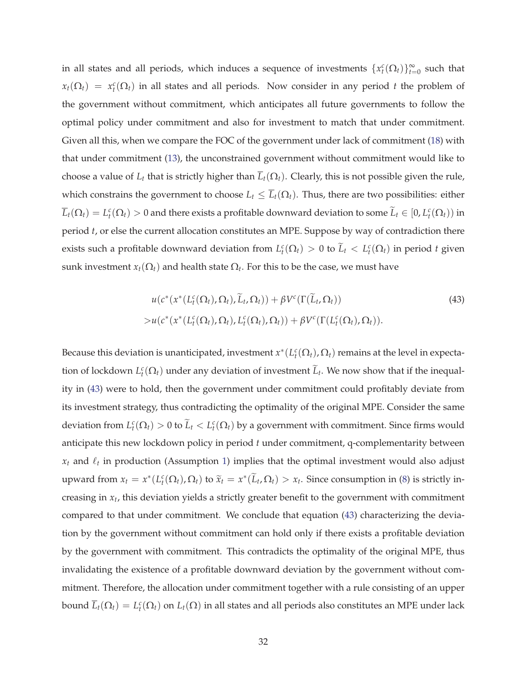in all states and all periods, which induces a sequence of investments  $\{x_t^c(\Omega_t)\}_{t=0}^{\infty}$  such that  $x_t(\Omega_t) = x_t^c(\Omega_t)$  in all states and all periods. Now consider in any period *t* the problem of the government without commitment, which anticipates all future governments to follow the optimal policy under commitment and also for investment to match that under commitment. Given all this, when we compare the FOC of the government under lack of commitment (18) with that under commitment (13), the unconstrained government without commitment would like to choose a value of  $L_t$  that is strictly higher than  $\overline{L}_t(\Omega_t)$ . Clearly, this is not possible given the rule, which constrains the government to choose  $L_t \leq \overline{L}_t(\Omega_t)$ . Thus, there are two possibilities: either  $\overline{L}_t(\Omega_t) = L_t^c(\Omega_t) > 0$  and there exists a profitable downward deviation to some  $\widetilde{L}_t \in [0,L_t^c(\Omega_t))$  in period *t*, or else the current allocation constitutes an MPE. Suppose by way of contradiction there exists such a profitable downward deviation from  $L_t^c(\Omega_t) > 0$  to  $\tilde{L}_t < L_t^c(\Omega_t)$  in period *t* given sunk investment  $x_t(\Omega_t)$  and health state  $\Omega_t.$  For this to be the case, we must have

$$
u(c^*(x^*(L_t^c(\Omega_t), \Omega_t), \widetilde{L}_t, \Omega_t)) + \beta V^c(\Gamma(\widetilde{L}_t, \Omega_t))
$$
  
> 
$$
u(c^*(x^*(L_t^c(\Omega_t), \Omega_t), L_t^c(\Omega_t), \Omega_t)) + \beta V^c(\Gamma(L_t^c(\Omega_t), \Omega_t)).
$$
 (43)

Because this deviation is unanticipated, investment  $x^*(L_t^c(\Omega_t), \Omega_t)$  remains at the level in expectation of lockdown  $L_t^c(\Omega_t)$  under any deviation of investment  $\tilde{L}_t$ . We now show that if the inequality in (43) were to hold, then the government under commitment could profitably deviate from its investment strategy, thus contradicting the optimality of the original MPE. Consider the same deviation from  $L_t^c(\Omega_t) > 0$  to  $\widetilde{L}_t < L_t^c(\Omega_t)$  by a government with commitment. Since firms would anticipate this new lockdown policy in period *t* under commitment, q-complementarity between  $x_t$  and  $\ell_t$  in production (Assumption 1) implies that the optimal investment would also adjust upward from  $x_t = x^*(L_t^c(\Omega_t), \Omega_t)$  to  $\tilde{x}_t = x^*(\tilde{L}_t, \Omega_t) > x_t$ . Since consumption in (8) is strictly increasing in *x<sup>t</sup>* , this deviation yields a strictly greater benefit to the government with commitment compared to that under commitment. We conclude that equation (43) characterizing the deviation by the government without commitment can hold only if there exists a profitable deviation by the government with commitment. This contradicts the optimality of the original MPE, thus invalidating the existence of a profitable downward deviation by the government without commitment. Therefore, the allocation under commitment together with a rule consisting of an upper bound  $\overline{L}_t(\Omega_t)=L_t^c(\Omega_t)$  on  $L_t(\Omega)$  in all states and all periods also constitutes an MPE under lack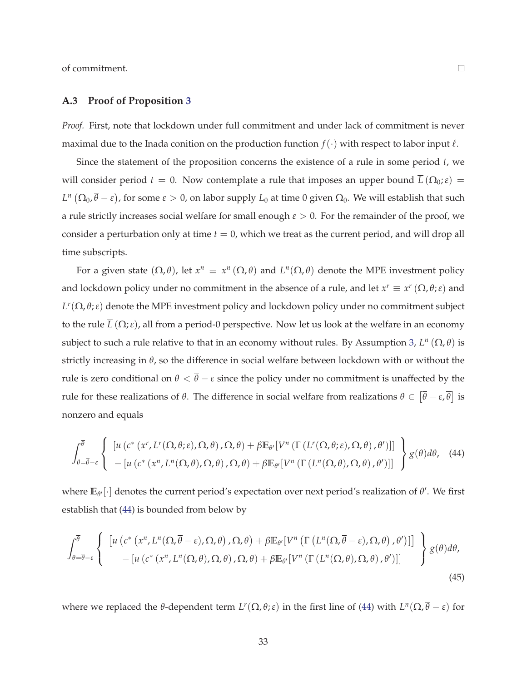of commitment.

### **A.3 Proof of Proposition 3**

*Proof.* First, note that lockdown under full commitment and under lack of commitment is never maximal due to the Inada conition on the production function  $f(\cdot)$  with respect to labor input  $\ell$ .

Since the statement of the proposition concerns the existence of a rule in some period *t*, we will consider period  $t = 0$ . Now contemplate a rule that imposes an upper bound  $\overline{L}(\Omega_0; \varepsilon) =$ *L*<sup>n</sup> (Ω<sub>0</sub>,  $\bar{\theta}$  − ε), for some ε > 0, on labor supply *L*<sub>0</sub> at time 0 given Ω<sub>0</sub>. We will establish that such a rule strictly increases social welfare for small enough *ε* > 0. For the remainder of the proof, we consider a perturbation only at time *t* = 0, which we treat as the current period, and will drop all time subscripts.

For a given state  $(\Omega, \theta)$ , let  $x^n \equiv x^n (\Omega, \theta)$  and  $L^n(\Omega, \theta)$  denote the MPE investment policy and lockdown policy under no commitment in the absence of a rule, and let  $x^r \equiv x^r (\Omega, \theta; \varepsilon)$  and  $L^r(\Omega,\theta;\varepsilon)$  denote the MPE investment policy and lockdown policy under no commitment subject to the rule  $\overline{L}(\Omega;\varepsilon)$ , all from a period-0 perspective. Now let us look at the welfare in an economy subject to such a rule relative to that in an economy without rules. By Assumption 3,  $L^n(\Omega, \theta)$  is strictly increasing in *θ*, so the difference in social welfare between lockdown with or without the rule is zero conditional on  $\theta < \overline{\theta} - \varepsilon$  since the policy under no commitment is unaffected by the rule for these realizations of *θ*. The difference in social welfare from realizations  $θ \in [\overline{θ} - ε, \overline{θ}]$  is nonzero and equals

$$
\int_{\theta=\overline{\theta}-\varepsilon}^{\overline{\theta}} \left\{ \begin{array}{l} \left[ u\left( c^*\left( x^r, L^r(\Omega,\theta;\varepsilon),\Omega,\theta\right),\Omega,\theta\right) + \beta \mathbb{E}_{\theta'}[V^n\left( \Gamma\left( L^r(\Omega,\theta;\varepsilon),\Omega,\theta\right),\theta'\right) ] \right] \\ - \left[ u\left( c^*\left( x^n, L^n(\Omega,\theta),\Omega,\theta\right),\Omega,\theta\right) + \beta \mathbb{E}_{\theta'}[V^n\left( \Gamma\left( L^n(\Omega,\theta),\Omega,\theta\right),\theta'\right) ] \right] \end{array} \right\} g(\theta) d\theta, \quad (44)
$$

where  $\mathbb{E}_{\theta'}[\cdot]$  denotes the current period's expectation over next period's realization of  $\theta'.$  We first establish that (44) is bounded from below by

$$
\int_{\theta=\overline{\theta}-\varepsilon}^{\overline{\theta}} \left\{ \begin{array}{l} \left[ u\left( c^* \left( x^n, L^n(\Omega, \overline{\theta}-\varepsilon), \Omega, \theta \right), \Omega, \theta \right) + \beta \mathbb{E}_{\theta'}[V^n \left( \Gamma\left( L^n(\Omega, \overline{\theta}-\varepsilon), \Omega, \theta \right), \theta' \right) \right] \\ - \left[ u\left( c^* \left( x^n, L^n(\Omega, \theta), \Omega, \theta \right), \Omega, \theta \right) + \beta \mathbb{E}_{\theta'}[V^n \left( \Gamma\left( L^n(\Omega, \theta), \Omega, \theta \right), \theta' \right) ] \right] \end{array} \right\} g(\theta) d\theta, \tag{45}
$$

where we replaced the *θ*-dependent term  $L^r(\Omega, \theta; \varepsilon)$  in the first line of (44) with  $L^n(\Omega, \overline{\theta} - \varepsilon)$  for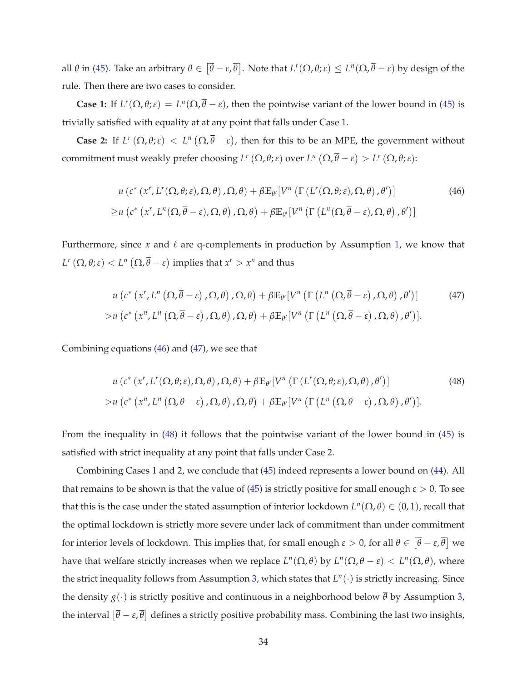all  $\theta$  in (45). Take an arbitrary  $\theta \in [\overline{\theta} - \varepsilon, \overline{\theta}]$ . Note that  $L^r(\Omega, \theta; \varepsilon) \le L^n(\Omega, \overline{\theta} - \varepsilon)$  by design of the rule. Then there are two cases to consider.

**Case 1:** If  $L^r(\Omega, \theta; \varepsilon) = L^n(\Omega, \overline{\theta} - \varepsilon)$ , then the pointwise variant of the lower bound in (45) is trivially satisfied with equality at at any point that falls under Case 1.

**Case 2:** If  $L^r(\Omega, \theta; \varepsilon) < L^n(\Omega, \overline{\theta} - \varepsilon)$ , then for this to be an MPE, the government without commitment must weakly prefer choosing  $L^r(\Omega, \theta; \varepsilon)$  over  $L^n(\Omega, \overline{\theta} - \varepsilon) > L^r(\Omega, \theta; \varepsilon)$ :

$$
u\left(c^*\left(x^r,L^r(\Omega,\theta;\varepsilon),\Omega,\theta\right),\Omega,\theta\right) + \beta \mathbb{E}_{\theta'}[V^n\left(\Gamma\left(L^r(\Omega,\theta;\varepsilon),\Omega,\theta\right),\theta'\right)]\tag{46}
$$
  

$$
\geq u\left(c^*\left(x^r,L^n(\Omega,\overline{\theta}-\varepsilon),\Omega,\theta\right),\Omega,\theta\right) + \beta \mathbb{E}_{\theta'}[V^n\left(\Gamma\left(L^n(\Omega,\overline{\theta}-\varepsilon),\Omega,\theta\right),\theta'\right)]
$$

Furthermore, since *x* and  $\ell$  are q-complements in production by Assumption 1, we know that *L<sup>r</sup>*</sup> (Ω,  $\theta$ ; *ε*)  $\lt$  *L<sup>n</sup>* (Ω,  $\overline{\theta}$  − *ε*) implies that  $x^r > x^n$  and thus

$$
u\left(c^*\left(x^r, L^n\left(\Omega, \overline{\theta} - \varepsilon\right), \Omega, \theta\right), \Omega, \theta\right) + \beta \mathbb{E}_{\theta'}[V^n\left(\Gamma\left(L^n\left(\Omega, \overline{\theta} - \varepsilon\right), \Omega, \theta\right), \theta'\right)] \tag{47}
$$
  
> 
$$
u\left(c^*\left(x^n, L^n\left(\Omega, \overline{\theta} - \varepsilon\right), \Omega, \theta\right), \Omega, \theta\right) + \beta \mathbb{E}_{\theta'}[V^n\left(\Gamma\left(L^n\left(\Omega, \overline{\theta} - \varepsilon\right), \Omega, \theta\right), \theta'\right)].
$$

Combining equations (46) and (47), we see that

$$
u\left(c^*\left(x^r,L^r(\Omega,\theta;\varepsilon),\Omega,\theta\right),\Omega,\theta\right)+\beta\mathbb{E}_{\theta'}\left[V^n\left(\Gamma\left(L^r(\Omega,\theta;\varepsilon),\Omega,\theta\right),\theta'\right)\right]
$$
\n
$$
>u\left(c^*\left(x^n,L^n\left(\Omega,\overline{\theta}-\varepsilon\right),\Omega,\theta\right),\Omega,\theta\right)+\beta\mathbb{E}_{\theta'}\left[V^n\left(\Gamma\left(L^n\left(\Omega,\overline{\theta}-\varepsilon\right),\Omega,\theta\right),\theta'\right)\right].
$$
\n(48)

From the inequality in (48) it follows that the pointwise variant of the lower bound in (45) is satisfied with strict inequality at any point that falls under Case 2.

Combining Cases 1 and 2, we conclude that (45) indeed represents a lower bound on (44). All that remains to be shown is that the value of (45) is strictly positive for small enough  $\epsilon > 0$ . To see that this is the case under the stated assumption of interior lockdown  $L^n(\Omega, \theta) \in (0, 1)$ , recall that the optimal lockdown is strictly more severe under lack of commitment than under commitment for interior levels of lockdown. This implies that, for small enough  $\varepsilon > 0$ , for all  $\theta \in [\bar{\theta} - \varepsilon, \bar{\theta}]$  we have that welfare strictly increases when we replace  $L^n(\Omega,\theta)$  by  $L^n(\Omega,\overline{\theta}-\varepsilon) < L^n(\Omega,\theta)$ , where the strict inequality follows from Assumption 3, which states that  $L^n(\cdot)$  is strictly increasing. Since the density  $g(\cdot)$  is strictly positive and continuous in a neighborhood below  $\overline{\theta}$  by Assumption 3, the interval  $[\bar{\theta} - \varepsilon, \bar{\theta}]$  defines a strictly positive probability mass. Combining the last two insights,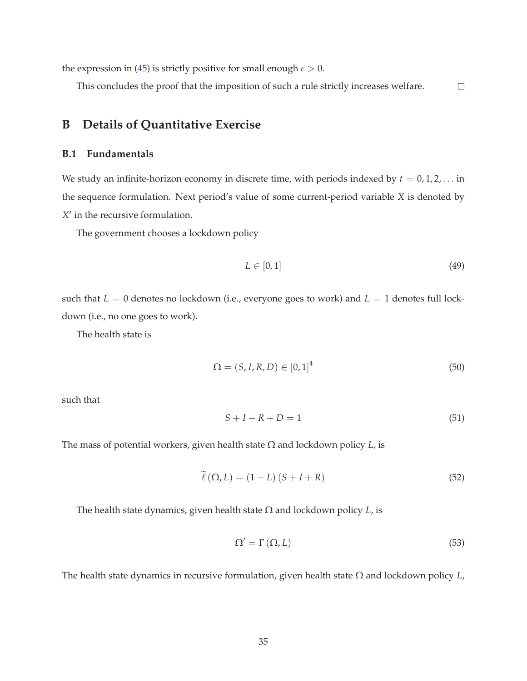the expression in (45) is strictly positive for small enough  $\varepsilon > 0$ .

This concludes the proof that the imposition of such a rule strictly increases welfare.  $\Box$ 

# **B Details of Quantitative Exercise**

## **B.1 Fundamentals**

We study an infinite-horizon economy in discrete time, with periods indexed by  $t = 0, 1, 2, \ldots$  in the sequence formulation. Next period's value of some current-period variable *X* is denoted by *X* ′ in the recursive formulation.

The government chooses a lockdown policy

$$
L \in [0, 1] \tag{49}
$$

such that  $L = 0$  denotes no lockdown (i.e., everyone goes to work) and  $L = 1$  denotes full lockdown (i.e., no one goes to work).

The health state is

$$
\Omega = (S, I, R, D) \in [0, 1]^4
$$
\n(50)

such that

$$
S + I + R + D = 1\tag{51}
$$

The mass of potential workers, given health state Ω and lockdown policy *L*, is

$$
\tilde{\ell}(\Omega, L) = (1 - L)(S + I + R)
$$
\n(52)

The health state dynamics, given health state Ω and lockdown policy *L*, is

$$
\Omega' = \Gamma(\Omega, L) \tag{53}
$$

The health state dynamics in recursive formulation, given health state Ω and lockdown policy *L*,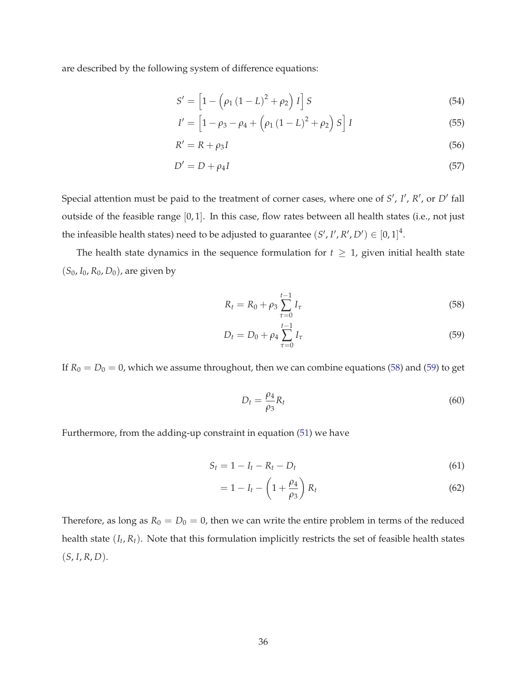are described by the following system of difference equations:

$$
S' = \left[1 - \left(\rho_1 (1 - L)^2 + \rho_2\right) I\right] S \tag{54}
$$

$$
I' = \left[1 - \rho_3 - \rho_4 + \left(\rho_1\left(1 - L\right)^2 + \rho_2\right)S\right]I
$$
\n(55)

$$
R' = R + \rho_3 I \tag{56}
$$

$$
D' = D + \rho_4 I \tag{57}
$$

Special attention must be paid to the treatment of corner cases, where one of S', I', R', or D' fall outside of the feasible range [0, 1]. In this case, flow rates between all health states (i.e., not just the infeasible health states) need to be adjusted to guarantee  $(S', I', R', D') \in [0, 1]^4$ .

The health state dynamics in the sequence formulation for  $t \geq 1$ , given initial health state (*S*0, *I*0, *R*0, *D*0), are given by

$$
R_t = R_0 + \rho_3 \sum_{\tau=0}^{t-1} I_{\tau}
$$
\n(58)

$$
D_t = D_0 + \rho_4 \sum_{\tau=0}^{t-1} I_{\tau}
$$
\n(59)

If  $R_0 = D_0 = 0$ , which we assume throughout, then we can combine equations (58) and (59) to get

$$
D_t = \frac{\rho_4}{\rho_3} R_t \tag{60}
$$

Furthermore, from the adding-up constraint in equation (51) we have

$$
S_t = 1 - I_t - R_t - D_t \tag{61}
$$

$$
=1-I_t-\left(1+\frac{\rho_4}{\rho_3}\right)R_t
$$
\n(62)

Therefore, as long as  $R_0 = D_0 = 0$ , then we can write the entire problem in terms of the reduced health state (*I<sup>t</sup>* , *Rt*). Note that this formulation implicitly restricts the set of feasible health states  $(S, I, R, D).$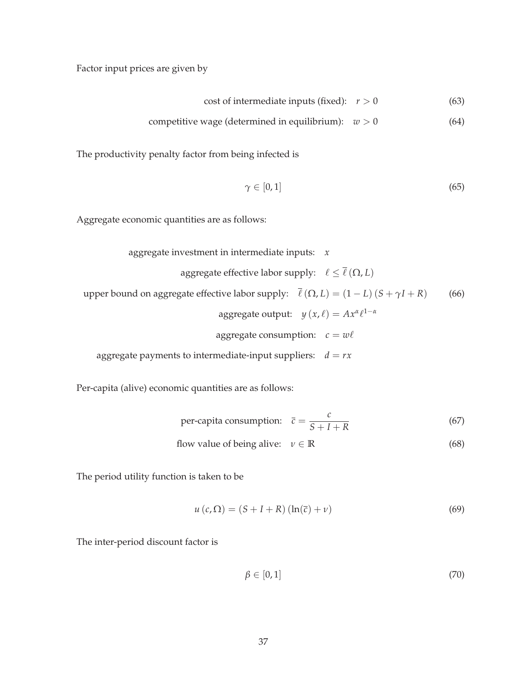Factor input prices are given by

cost of intermediate inputs (fixed):  $r > 0$  (63)

$$
competitive wage (determined in equilibrium): w > 0
$$
\n
$$
(64)
$$

The productivity penalty factor from being infected is

$$
\gamma \in [0,1] \tag{65}
$$

Aggregate economic quantities are as follows:

aggregate investment in intermediate inputs: *x*

aggregate effective labor supply:  $\ \ell \leq \overline{\ell} \left( \Omega, L \right)$ upper bound on aggregate effective labor supply:  $\bar{\ell}(\Omega, L) = (1 - L)(S + \gamma I + R)$  (66)  $\text{aggregate output:} \quad y(x, \ell) = Ax^{\alpha} \ell^{1-\alpha}$ aggregate consumption:  $c = w\ell$ 

aggregate payments to intermediate-input suppliers:  $d = rx$ 

Per-capita (alive) economic quantities are as follows:

per-capita consumption: 
$$
\bar{c} = \frac{c}{S + I + R}
$$
 (67)

flow value of being alive:  $v \in \mathbb{R}$  (68)

The period utility function is taken to be

$$
u\left(c,\Omega\right) = \left(S + I + R\right)\left(\ln(\overline{c}) + \nu\right) \tag{69}
$$

The inter-period discount factor is

$$
\beta \in [0,1] \tag{70}
$$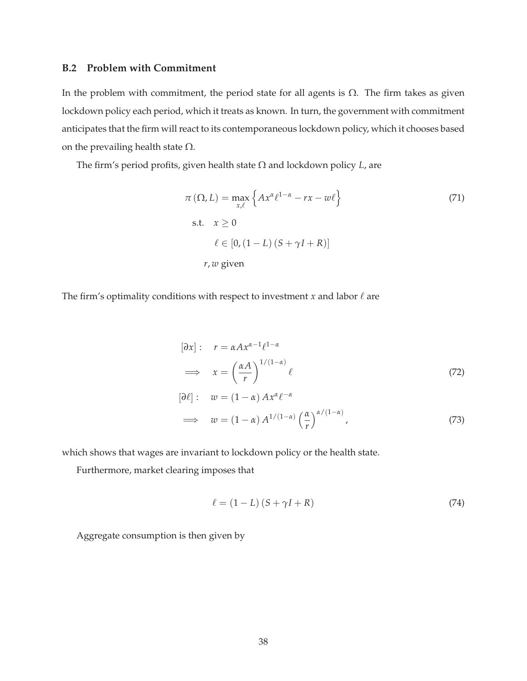### **B.2 Problem with Commitment**

In the problem with commitment, the period state for all agents is  $Ω$ . The firm takes as given lockdown policy each period, which it treats as known. In turn, the government with commitment anticipates that the firm will react to its contemporaneous lockdown policy, which it chooses based on the prevailing health state  $\Omega$ .

The firm's period profits, given health state Ω and lockdown policy *L*, are

$$
\pi(\Omega, L) = \max_{x,\ell} \left\{ Ax^{\alpha} \ell^{1-\alpha} - rx - w\ell \right\}
$$
\ns.t.  $x \ge 0$   
\n
$$
\ell \in [0, (1 - L) (S + \gamma I + R)]
$$
\n*r, w* given\n
$$
\tag{71}
$$

The firm's optimality conditions with respect to investment *x* and labor  $\ell$  are

$$
[\partial x]: \quad r = \alpha A x^{\alpha - 1} \ell^{1 - \alpha}
$$
\n
$$
\implies \quad x = \left(\frac{\alpha A}{r}\right)^{1/(1 - \alpha)} \ell \tag{72}
$$
\n
$$
[\partial \ell]: \quad w = (1 - \alpha) A x^{\alpha} \ell^{-\alpha}
$$
\n
$$
\implies \quad w = (1 - \alpha) A^{1/(1 - \alpha)} \left(\frac{\alpha}{r}\right)^{\alpha/(1 - \alpha)}, \tag{73}
$$

which shows that wages are invariant to lockdown policy or the health state.

Furthermore, market clearing imposes that

$$
\ell = (1 - L) (S + \gamma I + R) \tag{74}
$$

Aggregate consumption is then given by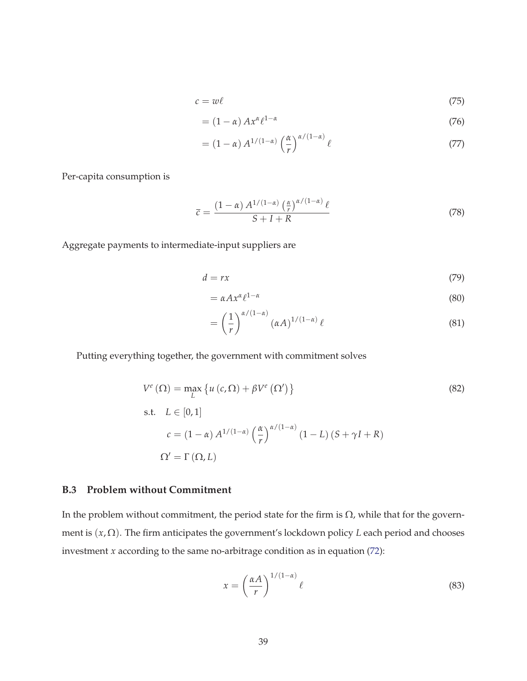$$
c = w\ell \tag{75}
$$

$$
= (1 - \alpha) A x^{\alpha} \ell^{1 - \alpha} \tag{76}
$$

$$
= (1 - \alpha) A^{1/(1 - \alpha)} \left(\frac{\alpha}{r}\right)^{\alpha/(1 - \alpha)} \ell \tag{77}
$$

Per-capita consumption is

$$
\overline{c} = \frac{(1-\alpha) A^{1/(1-\alpha)} \left(\frac{\alpha}{r}\right)^{\alpha/(1-\alpha)} \ell}{S+I+R}
$$
\n(78)

Aggregate payments to intermediate-input suppliers are

$$
d = rx \tag{79}
$$

$$
= \alpha A x^{\alpha} \ell^{1-\alpha} \tag{80}
$$

$$
= \left(\frac{1}{r}\right)^{\alpha/(1-\alpha)} (\alpha A)^{1/(1-\alpha)} \ell \tag{81}
$$

Putting everything together, the government with commitment solves

$$
V^{e}(\Omega) = \max_{L} \{ u(c, \Omega) + \beta V^{e}(\Omega') \}
$$
\n(82)

s.t. 
$$
L \in [0, 1]
$$
  
\n
$$
c = (1 - \alpha) A^{1/(1 - \alpha)} \left(\frac{\alpha}{r}\right)^{\alpha/(1 - \alpha)} (1 - L) (S + \gamma I + R)
$$
\n
$$
\Omega' = \Gamma(\Omega, L)
$$

## **B.3 Problem without Commitment**

In the problem without commitment, the period state for the firm is  $\Omega$ , while that for the government is (*x*, Ω). The firm anticipates the government's lockdown policy *L* each period and chooses investment *x* according to the same no-arbitrage condition as in equation (72):

$$
x = \left(\frac{\alpha A}{r}\right)^{1/(1-\alpha)} \ell \tag{83}
$$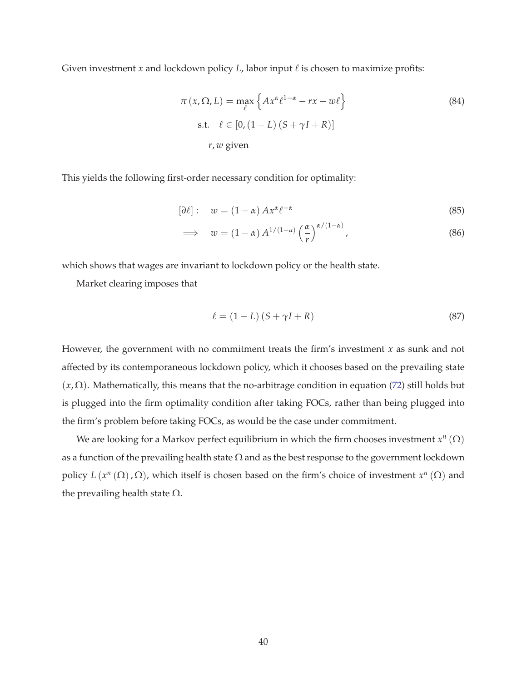Given investment *x* and lockdown policy *L*, labor input  $\ell$  is chosen to maximize profits:

$$
\pi(x, \Omega, L) = \max_{\ell} \left\{ Ax^{\alpha} \ell^{1-\alpha} - rx - w\ell \right\}
$$
\n
$$
\text{s.t.} \quad \ell \in [0, (1 - L)(S + \gamma I + R)]
$$
\n
$$
r, w \text{ given}
$$
\n(84)

This yields the following first-order necessary condition for optimality:

$$
[\partial \ell]: \quad w = (1 - \alpha) A x^{\alpha} \ell^{-\alpha} \tag{85}
$$

$$
\implies w = (1 - \alpha) A^{1/(1 - \alpha)} \left(\frac{\alpha}{r}\right)^{\alpha/(1 - \alpha)}, \tag{86}
$$

which shows that wages are invariant to lockdown policy or the health state.

Market clearing imposes that

$$
\ell = (1 - L)(S + \gamma I + R) \tag{87}
$$

However, the government with no commitment treats the firm's investment *x* as sunk and not affected by its contemporaneous lockdown policy, which it chooses based on the prevailing state  $(x,\Omega)$ . Mathematically, this means that the no-arbitrage condition in equation (72) still holds but is plugged into the firm optimality condition after taking FOCs, rather than being plugged into the firm's problem before taking FOCs, as would be the case under commitment.

We are looking for a Markov perfect equilibrium in which the firm chooses investment  $x^n(\Omega)$ as a function of the prevailing health state  $\Omega$  and as the best response to the government lockdown policy  $L(x^n(\Omega), \Omega)$ , which itself is chosen based on the firm's choice of investment  $x^n(\Omega)$  and the prevailing health state  $\Omega$ .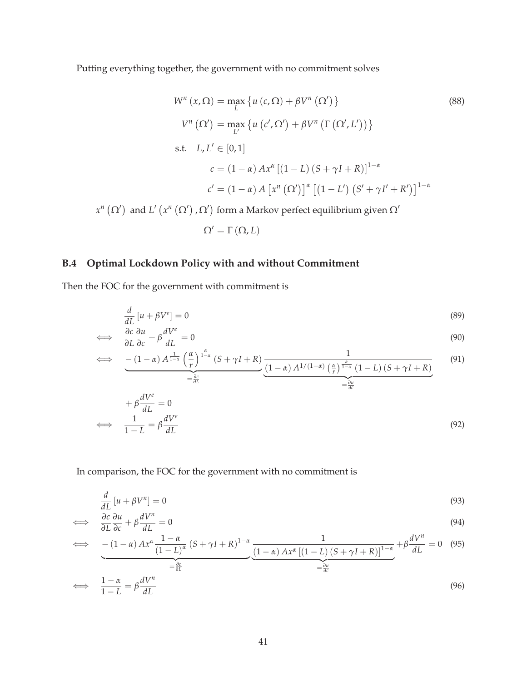Putting everything together, the government with no commitment solves

$$
W^{n}(x,\Omega) = \max_{L} \{ u(c,\Omega) + \beta V^{n}(\Omega') \}
$$
\n
$$
V^{n}(\Omega') = \max_{L'} \{ u(c',\Omega') + \beta V^{n}(\Gamma(\Omega',L')) \}
$$
\n
$$
s.t. L, L' \in [0,1]
$$
\n
$$
c = (1-\alpha) Ax^{\alpha} [(1-L)(S + \gamma I + R)]^{1-\alpha}
$$
\n
$$
c' = (1-\alpha) A [x^{n}(\Omega')]^{\alpha} [(1-L')(S' + \gamma I' + R')]^{1-\alpha}
$$
\n
$$
V(x^{n}(\Omega'), \Omega') \text{ form a Markov perfect equilibrium given } \Omega'
$$
\n(88)

*x*<sup>*n*</sup> (Ω<sup>'</sup>) and *L'* (*x<sup>n</sup>* (Ω<sup>'</sup>), Ω<sup>'</sup>) rkov perfect eq<mark>u</mark>

$$
\Omega' = \Gamma(\Omega, L)
$$

# **B.4 Optimal Lockdown Policy with and without Commitment**

Then the FOC for the government with commitment is

$$
\frac{d}{dL}\left[u + \beta V^e\right] = 0\tag{89}
$$

$$
\iff \frac{\partial c}{\partial L} \frac{\partial u}{\partial c} + \beta \frac{dV^e}{dL} = 0 \tag{90}
$$

$$
\iff - (1 - \alpha) A^{\frac{1}{1 - \alpha}} \left(\frac{\alpha}{r}\right)^{\frac{\alpha}{1 - \alpha}} (S + \gamma I + R) \underbrace{\frac{1}{(1 - \alpha) A^{1/(1 - \alpha)} \left(\frac{\alpha}{r}\right)^{\frac{\alpha}{1 - \alpha}} (1 - L) (S + \gamma I + R)}}_{= \frac{\partial c}{\partial L}} \tag{91}
$$

$$
+\beta \frac{dV^e}{dL} = 0
$$
  

$$
\iff \frac{1}{1-L} = \beta \frac{dV^e}{dL}
$$
 (92)

In comparison, the FOC for the government with no commitment is

$$
\frac{d}{dL}\left[u + \beta V^n\right] = 0\tag{93}
$$

$$
\iff \frac{\partial c}{\partial L} \frac{\partial u}{\partial c} + \beta \frac{dV^n}{dL} = 0 \tag{94}
$$

$$
\iff \underbrace{-(1-\alpha)Ax^{\alpha}\frac{1-\alpha}{(1-L)^{\alpha}}(S+\gamma I+R)^{1-\alpha}}_{=\frac{\partial c}{\partial L}}\underbrace{\frac{1}{(1-\alpha)Ax^{\alpha}\left[(1-L)(S+\gamma I+R)\right]^{1-\alpha}}}_{=\frac{\partial u}{\partial c}}+\beta\frac{dV^{n}}{dL}=0\quad(95)
$$

$$
\iff \frac{1-\alpha}{1-L} = \beta \frac{dV^n}{dL} \tag{96}
$$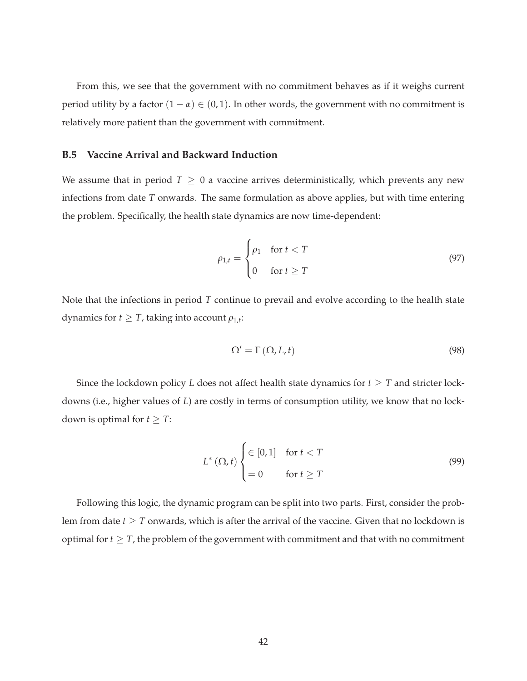From this, we see that the government with no commitment behaves as if it weighs current period utility by a factor  $(1 - \alpha) \in (0, 1)$ . In other words, the government with no commitment is relatively more patient than the government with commitment.

### **B.5 Vaccine Arrival and Backward Induction**

We assume that in period  $T \geq 0$  a vaccine arrives deterministically, which prevents any new infections from date *T* onwards. The same formulation as above applies, but with time entering the problem. Specifically, the health state dynamics are now time-dependent:

$$
\rho_{1,t} = \begin{cases} \rho_1 & \text{for } t < T \\ 0 & \text{for } t \ge T \end{cases} \tag{97}
$$

Note that the infections in period *T* continue to prevail and evolve according to the health state dynamics for  $t \geq T$ , taking into account  $\rho_{1,t}$ :

$$
\Omega' = \Gamma(\Omega, L, t) \tag{98}
$$

Since the lockdown policy *L* does not affect health state dynamics for  $t \geq T$  and stricter lockdowns (i.e., higher values of *L*) are costly in terms of consumption utility, we know that no lockdown is optimal for  $t \geq T$ :

$$
L^*(\Omega, t) \begin{cases} \in [0, 1] & \text{for } t < T \\ = 0 & \text{for } t \ge T \end{cases} \tag{99}
$$

Following this logic, the dynamic program can be split into two parts. First, consider the problem from date  $t \geq T$  onwards, which is after the arrival of the vaccine. Given that no lockdown is optimal for  $t \geq T$ , the problem of the government with commitment and that with no commitment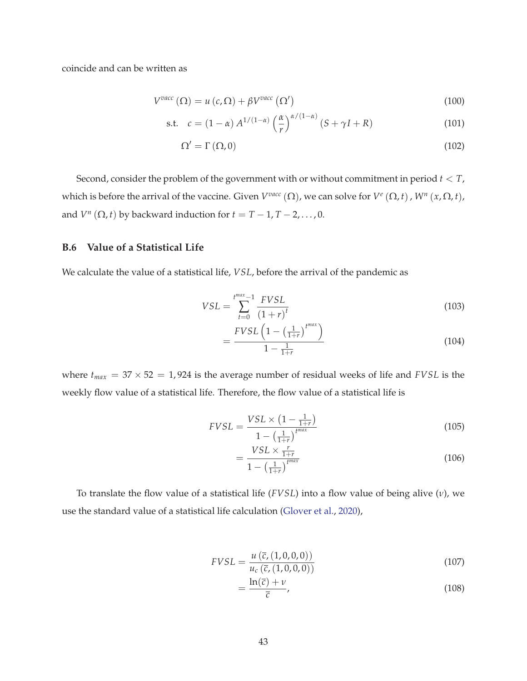coincide and can be written as

$$
V^{vacc}(\Omega) = u(c,\Omega) + \beta V^{vacc}(\Omega')
$$
\n(100)

$$
\text{s.t.} \quad c = (1 - \alpha) A^{1/(1 - \alpha)} \left(\frac{\alpha}{r}\right)^{\alpha/(1 - \alpha)} (S + \gamma I + R) \tag{101}
$$

$$
\Omega' = \Gamma(\Omega, 0) \tag{102}
$$

Second, consider the problem of the government with or without commitment in period *t* < *T*, which is before the arrival of the vaccine. Given  $V^{vac}(\Omega)$ , we can solve for  $V^{e}(\Omega,t)$ ,  $W^{n}(x,\Omega,t)$ , and  $V^n(\Omega, t)$  by backward induction for  $t = T - 1, T - 2, \ldots, 0$ .

### **B.6 Value of a Statistical Life**

We calculate the value of a statistical life, *VSL*, before the arrival of the pandemic as

$$
VSL = \sum_{t=0}^{t^{max}-1} \frac{FVSL}{(1+r)^t}
$$
 (103)

$$
=\frac{FVSL\left(1-\left(\frac{1}{1+r}\right)^{t^{max}}\right)}{1-\frac{1}{1+r}}\tag{104}
$$

where  $t_{max} = 37 \times 52 = 1,924$  is the average number of residual weeks of life and *FVSL* is the weekly flow value of a statistical life. Therefore, the flow value of a statistical life is

$$
FVSL = \frac{VSL \times (1 - \frac{1}{1+r})}{1 - (\frac{1}{1+r})^{t^{max}}} \tag{105}
$$

$$
=\frac{VSL \times \frac{r}{1+r}}{1-\left(\frac{1}{1+r}\right)^{t^{max}}}
$$
\n(106)

To translate the flow value of a statistical life (*FVSL*) into a flow value of being alive (*ν*), we use the standard value of a statistical life calculation (Glover et al., 2020),

$$
FVSL = \frac{u(\bar{c}, (1,0,0,0))}{u_c(\bar{c}, (1,0,0,0))}
$$
(107)

$$
=\frac{\ln(\bar{c})+\nu}{\bar{c}},\tag{108}
$$